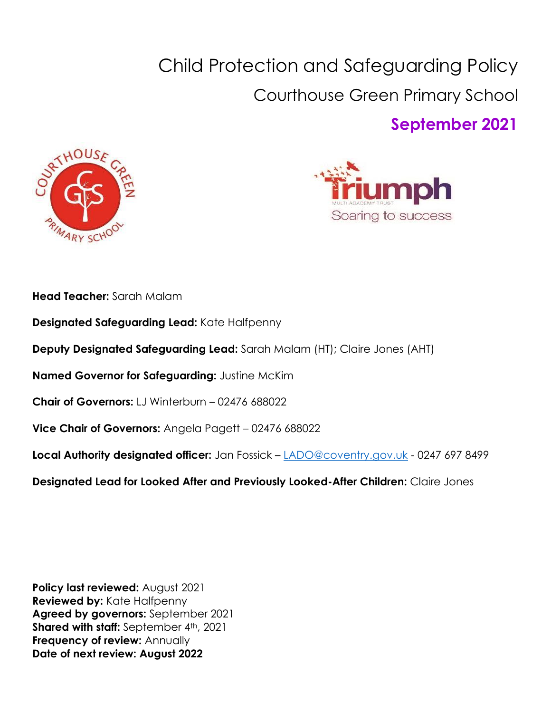# Child Protection and Safeguarding Policy Courthouse Green Primary School **September 2021**





**Head Teacher:** Sarah Malam

- **Designated Safeguarding Lead:** Kate Halfpenny
- **Deputy Designated Safeguarding Lead:** Sarah Malam (HT); Claire Jones (AHT)
- **Named Governor for Safeguarding:** Justine McKim
- **Chair of Governors:** LJ Winterburn 02476 688022
- **Vice Chair of Governors:** Angela Pagett 02476 688022
- **Local Authority designated officer:** Jan Fossick [LADO@coventry.gov.uk](mailto:LADO@coventry.gov.uk) 0247 697 8499
- **Designated Lead for Looked After and Previously Looked-After Children:** Claire Jones

**Policy last reviewed:** August 2021 **Reviewed by: Kate Halfpenny Agreed by governors:** September 2021 **Shared with staff:** September 4th, 2021 **Frequency of review:** Annually **Date of next review: August 2022**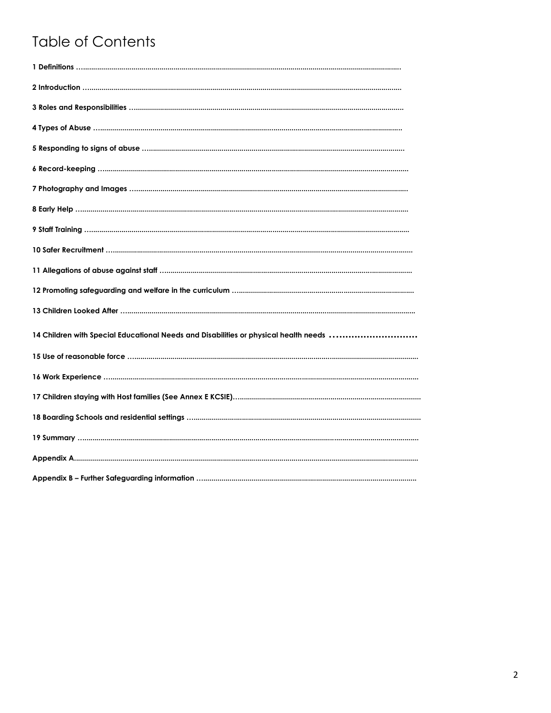# **Table of Contents**

| 14 Children with Special Educational Needs and Disabilities or physical health needs |
|--------------------------------------------------------------------------------------|
|                                                                                      |
|                                                                                      |
|                                                                                      |
|                                                                                      |
|                                                                                      |
|                                                                                      |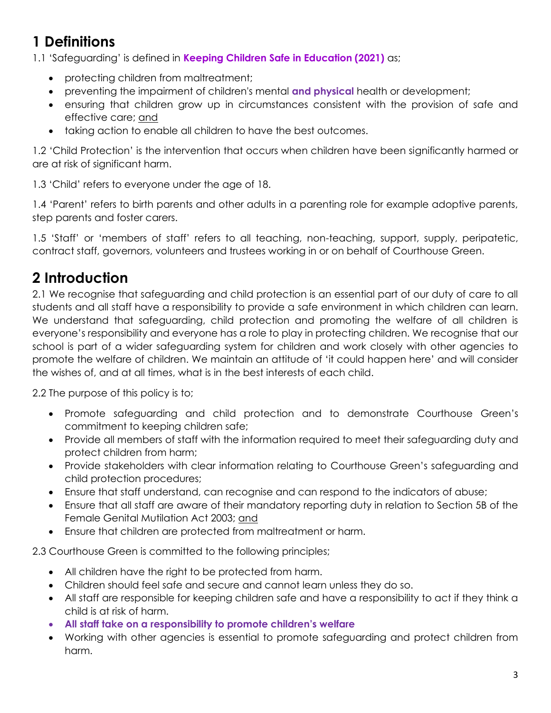# **1 Definitions**

1.1 'Safeguarding' is defined in **Keeping Children Safe in Education (2021)** as;

- protecting children from maltreatment;
- preventing the impairment of children's mental **and physical** health or development;
- ensuring that children grow up in circumstances consistent with the provision of safe and effective care; and
- taking action to enable all children to have the best outcomes.

1.2 'Child Protection' is the intervention that occurs when children have been significantly harmed or are at risk of significant harm.

1.3 'Child' refers to everyone under the age of 18.

1.4 'Parent' refers to birth parents and other adults in a parenting role for example adoptive parents, step parents and foster carers.

1.5 'Staff' or 'members of staff' refers to all teaching, non-teaching, support, supply, peripatetic, contract staff, governors, volunteers and trustees working in or on behalf of Courthouse Green.

# **2 Introduction**

2.1 We recognise that safeguarding and child protection is an essential part of our duty of care to all students and all staff have a responsibility to provide a safe environment in which children can learn. We understand that safeguarding, child protection and promoting the welfare of all children is everyone's responsibility and everyone has a role to play in protecting children. We recognise that our school is part of a wider safeguarding system for children and work closely with other agencies to promote the welfare of children. We maintain an attitude of 'it could happen here' and will consider the wishes of, and at all times, what is in the best interests of each child.

2.2 The purpose of this policy is to;

- Promote safeguarding and child protection and to demonstrate Courthouse Green's commitment to keeping children safe;
- Provide all members of staff with the information required to meet their safeguarding duty and protect children from harm;
- Provide stakeholders with clear information relating to Courthouse Green's safeguarding and child protection procedures;
- Ensure that staff understand, can recognise and can respond to the indicators of abuse;
- Ensure that all staff are aware of their mandatory reporting duty in relation to Section 5B of the Female Genital Mutilation Act 2003; and
- Ensure that children are protected from maltreatment or harm.

2.3 Courthouse Green is committed to the following principles;

- All children have the right to be protected from harm.
- Children should feel safe and secure and cannot learn unless they do so.
- All staff are responsible for keeping children safe and have a responsibility to act if they think a child is at risk of harm.
- **All staff take on a responsibility to promote children's welfare**
- Working with other agencies is essential to promote safeguarding and protect children from harm.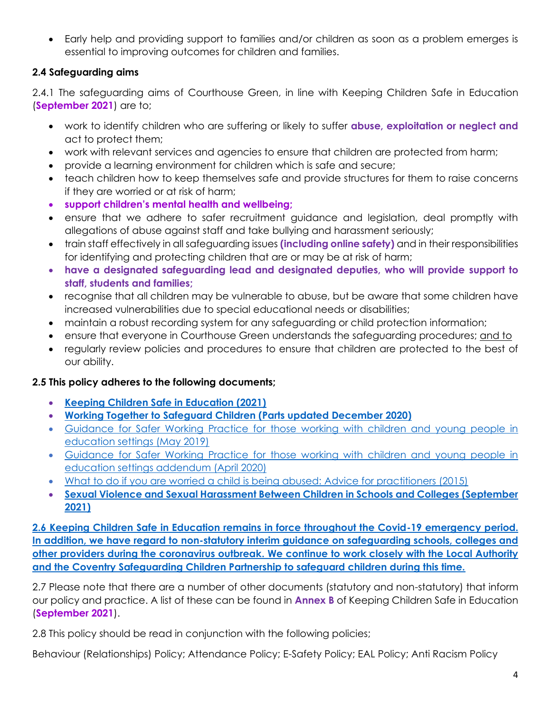• Early help and providing support to families and/or children as soon as a problem emerges is essential to improving outcomes for children and families.

#### **2.4 Safeguarding aims**

2.4.1 The safeguarding aims of Courthouse Green, in line with Keeping Children Safe in Education (**September 2021**) are to;

- work to identify children who are suffering or likely to suffer **abuse, exploitation or neglect and** act to protect them;
- work with relevant services and agencies to ensure that children are protected from harm;
- provide a learning environment for children which is safe and secure;
- teach children how to keep themselves safe and provide structures for them to raise concerns if they are worried or at risk of harm;
- **support children's mental health and wellbeing;**
- ensure that we adhere to safer recruitment guidance and legislation, deal promptly with allegations of abuse against staff and take bullying and harassment seriously;
- train staff effectively in all safeguarding issues **(including online safety)** and in their responsibilities for identifying and protecting children that are or may be at risk of harm;
- **have a designated safeguarding lead and designated deputies, who will provide support to staff, students and families;**
- recognise that all children may be vulnerable to abuse, but be aware that some children have increased vulnerabilities due to special educational needs or disabilities;
- maintain a robust recording system for any safeguarding or child protection information;
- ensure that everyone in Courthouse Green understands the safeguarding procedures; and to
- regularly review policies and procedures to ensure that children are protected to the best of our ability.

#### **2.5 This policy adheres to the following documents;**

- **[Keeping Children Safe in Education \(2021\)](file:///C:/Users/cvcha834/OneDrive%20-%20Coventry%20City%20Council/SIE%20role/KCSIE/Keeping_children_safe_in_education_2021.pdf)**
- **[Working Together to Safeguard Children \(Parts updated December 2020\)](file:///C:/Users/cvcha834/OneDrive%20-%20Coventry%20City%20Council/SIE%20role/KCSIE/Working_together_to_safeguard_children_inter_agency_guidance.pdf)**
- [Guidance for Safer Working Practice for those working with children and young people in](https://www.saferrecruitmentconsortium.org/GSWP%20Sept%202019.pdf)  [education settings \(May 2019\)](https://www.saferrecruitmentconsortium.org/GSWP%20Sept%202019.pdf)
- [Guidance for Safer Working Practice for those working with children and young people in](https://www.saferrecruitmentconsortium.org/GSWP%20Sept%202019.pdf%22%EF%BF%BDHYPERLINK%20%22https:/www.saferrecruitmentconsortium.org/GSWP%20COVID%20addendum%20April%202020%20final-1.pdf)  [education settings addendum \(April 2020\)](https://www.saferrecruitmentconsortium.org/GSWP%20Sept%202019.pdf%22%EF%BF%BDHYPERLINK%20%22https:/www.saferrecruitmentconsortium.org/GSWP%20COVID%20addendum%20April%202020%20final-1.pdf)
- [What to do if you are worried a child is being abused: Advice for practitioners \(2015\)](https://www.gov.uk/government/publications/what-to-do-if-youre-worried-a-child-is-being-abused--2)
- **[Sexual Violence and Sexual Harassment Between Children in Schools and Colleges \(September](file:///C:/Users/cvcha834/OneDrive%20-%20Coventry%20City%20Council/SIE%20role/KCSIE/Sexual_violence_and_sexual_harassment_between_children_in_schools_and_colleges.pdf)  [2021\)](file:///C:/Users/cvcha834/OneDrive%20-%20Coventry%20City%20Council/SIE%20role/KCSIE/Sexual_violence_and_sexual_harassment_between_children_in_schools_and_colleges.pdf)**

**2.6 Keeping Children Safe in Education remains in force throughout the Covid-19 emergency period. In addition, we have regard to [non-statutory interim guidance on safeguarding schools, colleges and](https://www.gov.uk/government/publications/covid-19-safeguarding-in-schools-colleges-and-other-providers/coronavirus-covid-19-safeguarding-in-schools-colleges-and-other-providers)  [other providers during the coronavirus outbreak.](https://www.gov.uk/government/publications/covid-19-safeguarding-in-schools-colleges-and-other-providers/coronavirus-covid-19-safeguarding-in-schools-colleges-and-other-providers) We continue to work closely with the Local Authority and the Coventry Safeguarding Children Partnership to safeguard children during this time.** 

2.7 Please note that there are a number of other documents (statutory and non-statutory) that inform our policy and practice. A list of these can be found in **Annex B** of Keeping Children Safe in Education (**September 2021**).

2.8 This policy should be read in conjunction with the following policies;

Behaviour (Relationships) Policy; Attendance Policy; E-Safety Policy; EAL Policy; Anti Racism Policy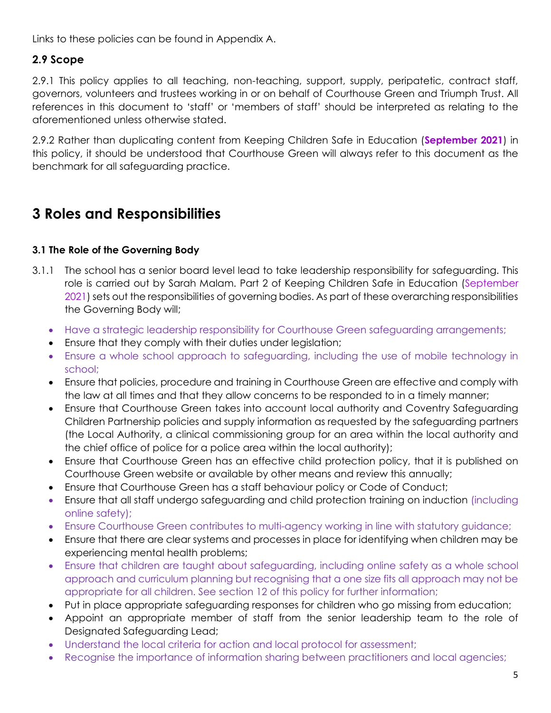Links to these policies can be found in Appendix A.

#### **2.9 Scope**

2.9.1 This policy applies to all teaching, non-teaching, support, supply, peripatetic, contract staff, governors, volunteers and trustees working in or on behalf of Courthouse Green and Triumph Trust. All references in this document to 'staff' or 'members of staff' should be interpreted as relating to the aforementioned unless otherwise stated.

2.9.2 Rather than duplicating content from Keeping Children Safe in Education (**September 2021**) in this policy, it should be understood that Courthouse Green will always refer to this document as the benchmark for all safeguarding practice.

### **3 Roles and Responsibilities**

#### **3.1 The Role of the Governing Body**

- 3.1.1 The school has a senior board level lead to take leadership responsibility for safeguarding. This role is carried out by Sarah Malam. Part 2 of Keeping Children Safe in Education (September 2021) sets out the responsibilities of governing bodies. As part of these overarching responsibilities the Governing Body will;
	- Have a strategic leadership responsibility for Courthouse Green safeguarding arrangements;
	- Ensure that they comply with their duties under legislation;
	- Ensure a whole school approach to safeguarding, including the use of mobile technology in school;
	- Ensure that policies, procedure and training in Courthouse Green are effective and comply with the law at all times and that they allow concerns to be responded to in a timely manner;
	- Ensure that Courthouse Green takes into account local authority and Coventry Safeguarding Children Partnership policies and supply information as requested by the safeguarding partners (the Local Authority, a clinical commissioning group for an area within the local authority and the chief office of police for a police area within the local authority);
	- Ensure that Courthouse Green has an effective child protection policy, that it is published on Courthouse Green website or available by other means and review this annually;
	- Ensure that Courthouse Green has a staff behaviour policy or Code of Conduct;
	- Ensure that all staff undergo safeguarding and child protection training on induction (including online safety);
	- Ensure Courthouse Green contributes to multi-agency working in line with statutory guidance;
	- Ensure that there are clear systems and processes in place for identifying when children may be experiencing mental health problems;
	- Ensure that children are taught about safeguarding, including online safety as a whole school approach and curriculum planning but recognising that a one size fits all approach may not be appropriate for all children. See section 12 of this policy for further information;
	- Put in place appropriate safeguarding responses for children who go missing from education;
	- Appoint an appropriate member of staff from the senior leadership team to the role of Designated Safeguarding Lead;
	- Understand the local criteria for action and local protocol for assessment;
	- Recognise the importance of information sharing between practitioners and local agencies;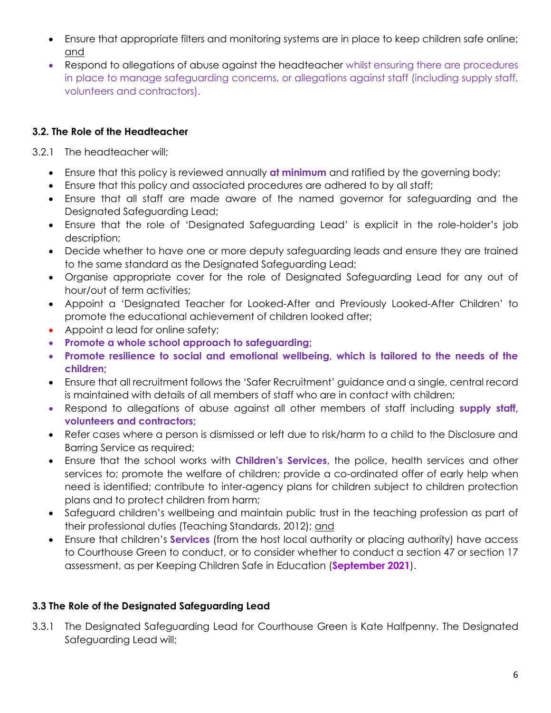- Ensure that appropriate filters and monitoring systems are in place to keep children safe online; and
- Respond to allegations of abuse against the headteacher whilst ensuring there are procedures in place to manage safeguarding concerns, or allegations against staff (including supply staff, volunteers and contractors).

#### **3.2. The Role of the Headteacher**

- 3.2.1 The headteacher will;
	- Ensure that this policy is reviewed annually **at minimum** and ratified by the governing body;
	- Ensure that this policy and associated procedures are adhered to by all staff;
	- Ensure that all staff are made aware of the named governor for safeguarding and the Designated Safeguarding Lead;
	- Ensure that the role of 'Designated Safeguarding Lead' is explicit in the role-holder's job description;
	- Decide whether to have one or more deputy safeguarding leads and ensure they are trained to the same standard as the Designated Safeguarding Lead;
	- Organise appropriate cover for the role of Designated Safeguarding Lead for any out of hour/out of term activities;
	- Appoint a 'Designated Teacher for Looked-After and Previously Looked-After Children' to promote the educational achievement of children looked after;
	- Appoint a lead for online safety;
	- **Promote a whole school approach to safeguarding;**
	- **Promote resilience to social and emotional wellbeing, which is tailored to the needs of the children;**
	- Ensure that all recruitment follows the 'Safer Recruitment' guidance and a single, central record is maintained with details of all members of staff who are in contact with children;
	- Respond to allegations of abuse against all other members of staff including **supply staff, volunteers and contractors;**
	- Refer cases where a person is dismissed or left due to risk/harm to a child to the Disclosure and Barring Service as required;
	- Ensure that the school works with **Children's Services**, the police, health services and other services to; promote the welfare of children; provide a co-ordinated offer of early help when need is identified; contribute to inter-agency plans for children subject to children protection plans and to protect children from harm;
	- Safeguard children's wellbeing and maintain public trust in the teaching profession as part of their professional duties (Teaching Standards, 2012); and
	- Ensure that children's **Services** (from the host local authority or placing authority) have access to Courthouse Green to conduct, or to consider whether to conduct a section 47 or section 17 assessment, as per Keeping Children Safe in Education (**September 2021**).

#### **3.3 The Role of the Designated Safeguarding Lead**

3.3.1 The Designated Safeguarding Lead for Courthouse Green is Kate Halfpenny. The Designated Safeguarding Lead will;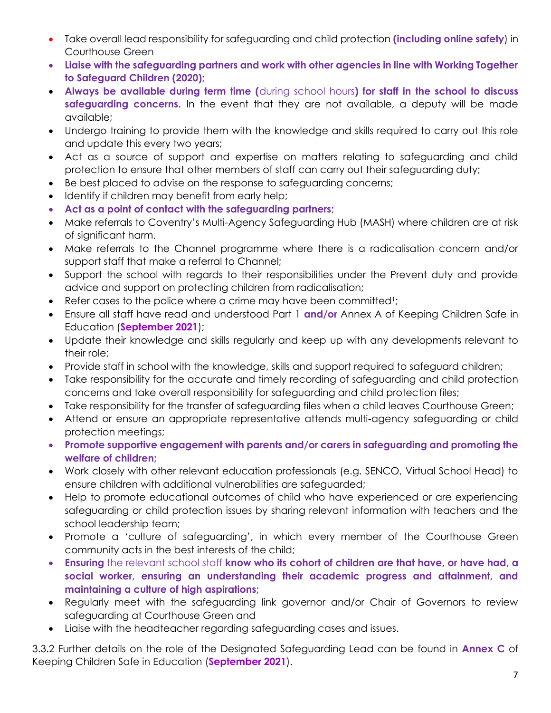- Take overall lead responsibility for safeguarding and child protection **(including online safety**) in Courthouse Green
- **Liaise with the safeguarding partners and work with other agencies in line with Working Together to Safeguard Children (2020);**
- **Always be available during term time (**during school hours**) for staff in the school to discuss safeguarding concerns.** In the event that they are not available, a deputy will be made available;
- Undergo training to provide them with the knowledge and skills required to carry out this role and update this every two years;
- Act as a source of support and expertise on matters relating to safeguarding and child protection to ensure that other members of staff can carry out their safeguarding duty;
- Be best placed to advise on the response to safeguarding concerns;
- Identify if children may benefit from early help;
- **Act as a point of contact with the safeguarding partners;**
- Make referrals to Coventry's Multi-Agency Safeguarding Hub (MASH) where children are at risk of significant harm.
- Make referrals to the Channel programme where there is a radicalisation concern and/or support staff that make a referral to Channel;
- Support the school with regards to their responsibilities under the Prevent duty and provide advice and support on protecting children from radicalisation;
- Refer cases to the police where a crime may have been committed<sup>1</sup>;
- Ensure all staff have read and understood Part 1 **and/or** Annex A of Keeping Children Safe in Education (**September 2021**);
- Update their knowledge and skills regularly and keep up with any developments relevant to their role;
- Provide staff in school with the knowledge, skills and support required to safeguard children;
- Take responsibility for the accurate and timely recording of safeguarding and child protection concerns and take overall responsibility for safeguarding and child protection files;
- Take responsibility for the transfer of safeguarding files when a child leaves Courthouse Green;
- Attend or ensure an appropriate representative attends multi-agency safeguarding or child protection meetings;
- **Promote supportive engagement with parents and/or carers in safeguarding and promoting the welfare of children;**
- Work closely with other relevant education professionals (e.g. SENCO, Virtual School Head) to ensure children with additional vulnerabilities are safeguarded;
- Help to promote educational outcomes of child who have experienced or are experiencing safeguarding or child protection issues by sharing relevant information with teachers and the school leadership team;
- Promote a 'culture of safeguarding', in which every member of the Courthouse Green community acts in the best interests of the child;
- **Ensuring** the relevant school staff **know who its cohort of children are that have, or have had, a social worker, ensuring an understanding their academic progress and attainment, and maintaining a culture of high aspirations;**
- Regularly meet with the safeguarding link governor and/or Chair of Governors to review safeguarding at Courthouse Green and
- Liaise with the headteacher regarding safeguarding cases and issues.

3.3.2 Further details on the role of the Designated Safeguarding Lead can be found in **Annex C** of Keeping Children Safe in Education (**September 2021**).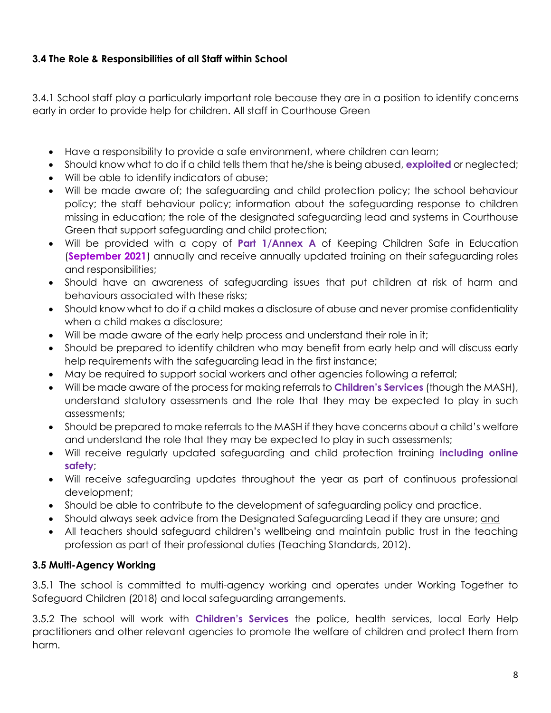#### **3.4 The Role & Responsibilities of all Staff within School**

3.4.1 School staff play a particularly important role because they are in a position to identify concerns early in order to provide help for children. All staff in Courthouse Green

- Have a responsibility to provide a safe environment, where children can learn;
- Should know what to do if a child tells them that he/she is being abused, **exploited** or neglected;
- Will be able to identify indicators of abuse;
- Will be made aware of; the safeguarding and child protection policy; the school behaviour policy; the staff behaviour policy; information about the safeguarding response to children missing in education; the role of the designated safeguarding lead and systems in Courthouse Green that support safeguarding and child protection;
- Will be provided with a copy of **Part 1/Annex A** of Keeping Children Safe in Education (**September 2021**) annually and receive annually updated training on their safeguarding roles and responsibilities;
- Should have an awareness of safeguarding issues that put children at risk of harm and behaviours associated with these risks;
- Should know what to do if a child makes a disclosure of abuse and never promise confidentiality when a child makes a disclosure;
- Will be made aware of the early help process and understand their role in it;
- Should be prepared to identify children who may benefit from early help and will discuss early help requirements with the safeguarding lead in the first instance;
- May be required to support social workers and other agencies following a referral;
- Will be made aware of the process for making referrals to **Children's Services** (though the MASH), understand statutory assessments and the role that they may be expected to play in such assessments;
- Should be prepared to make referrals to the MASH if they have concerns about a child's welfare and understand the role that they may be expected to play in such assessments;
- Will receive regularly updated safeguarding and child protection training **including online safety**;
- Will receive safeguarding updates throughout the year as part of continuous professional development;
- Should be able to contribute to the development of safeguarding policy and practice.
- Should always seek advice from the Designated Safeguarding Lead if they are unsure; and
- All teachers should safeguard children's wellbeing and maintain public trust in the teaching profession as part of their professional duties (Teaching Standards, 2012).

#### **3.5 Multi-Agency Working**

3.5.1 The school is committed to multi-agency working and operates under Working Together to Safeguard Children (2018) and local safeguarding arrangements.

3.5.2 The school will work with **Children's Services** the police, health services, local Early Help practitioners and other relevant agencies to promote the welfare of children and protect them from harm.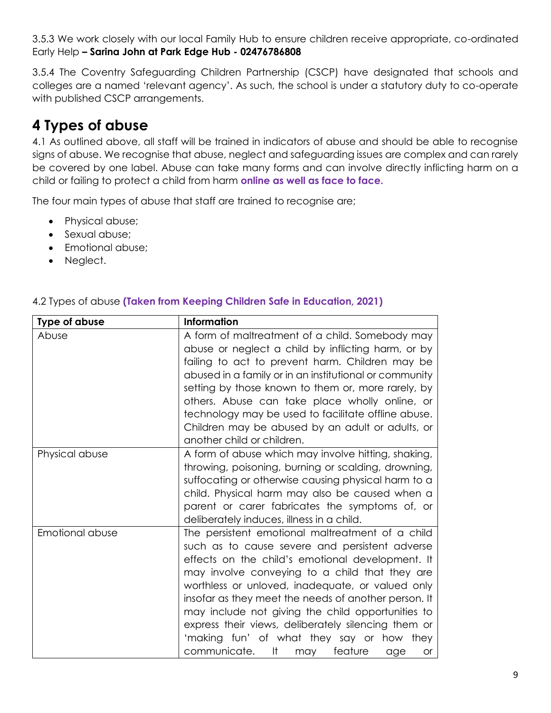3.5.3 We work closely with our local Family Hub to ensure children receive appropriate, co-ordinated Early Help **– Sarina John at Park Edge Hub - 02476786808**

3.5.4 The Coventry Safeguarding Children Partnership (CSCP) have designated that schools and colleges are a named 'relevant agency'. As such, the school is under a statutory duty to co-operate with published CSCP arrangements.

# **4 Types of abuse**

4.1 As outlined above, all staff will be trained in indicators of abuse and should be able to recognise signs of abuse. We recognise that abuse, neglect and safeguarding issues are complex and can rarely be covered by one label. Abuse can take many forms and can involve directly inflicting harm on a child or failing to protect a child from harm **online as well as face to face.** 

The four main types of abuse that staff are trained to recognise are;

- Physical abuse;
- Sexual abuse;
- Emotional abuse;
- Neglect.

| Type of abuse   | <b>Information</b>                                                                                                                                                                                                                                                                                                                                                                                                                                                                                                              |
|-----------------|---------------------------------------------------------------------------------------------------------------------------------------------------------------------------------------------------------------------------------------------------------------------------------------------------------------------------------------------------------------------------------------------------------------------------------------------------------------------------------------------------------------------------------|
| Abuse           | A form of maltreatment of a child. Somebody may<br>abuse or neglect a child by inflicting harm, or by<br>failing to act to prevent harm. Children may be<br>abused in a family or in an institutional or community<br>setting by those known to them or, more rarely, by<br>others. Abuse can take place wholly online, or<br>technology may be used to facilitate offline abuse.<br>Children may be abused by an adult or adults, or<br>another child or children.                                                             |
| Physical abuse  | A form of abuse which may involve hitting, shaking,<br>throwing, poisoning, burning or scalding, drowning,<br>suffocating or otherwise causing physical harm to a<br>child. Physical harm may also be caused when a<br>parent or carer fabricates the symptoms of, or<br>deliberately induces, illness in a child.                                                                                                                                                                                                              |
| Emotional abuse | The persistent emotional maltreatment of a child<br>such as to cause severe and persistent adverse<br>effects on the child's emotional development. It<br>may involve conveying to a child that they are<br>worthless or unloved, inadequate, or valued only<br>insofar as they meet the needs of another person. It<br>may include not giving the child opportunities to<br>express their views, deliberately silencing them or<br>'making fun' of what they say or how they<br>communicate. It<br>feature<br>may<br>age<br>or |

#### 4.2 Types of abuse **(Taken from Keeping Children Safe in Education, 2021)**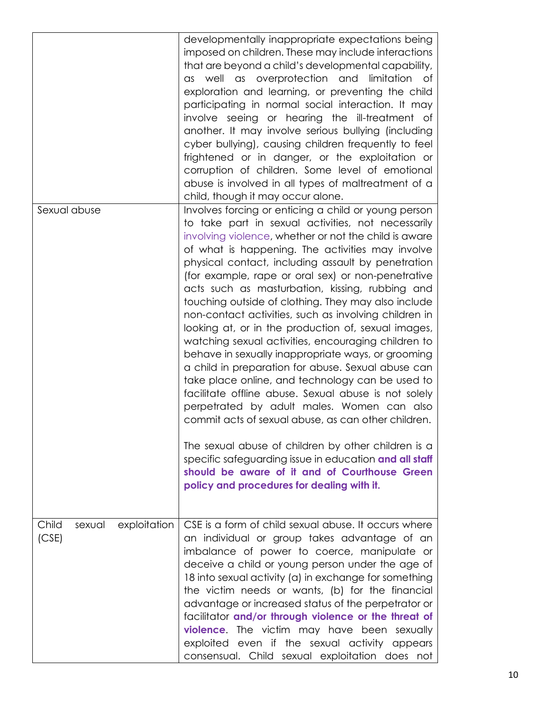|                                          | developmentally inappropriate expectations being<br>imposed on children. These may include interactions<br>that are beyond a child's developmental capability,<br>as well as overprotection and limitation<br>of<br>exploration and learning, or preventing the child<br>participating in normal social interaction. It may<br>involve seeing or hearing the ill-treatment of<br>another. It may involve serious bullying (including<br>cyber bullying), causing children frequently to feel<br>frightened or in danger, or the exploitation or<br>corruption of children. Some level of emotional<br>abuse is involved in all types of maltreatment of a<br>child, though it may occur alone.                                                                                                                                                                                                                                                                                                           |
|------------------------------------------|----------------------------------------------------------------------------------------------------------------------------------------------------------------------------------------------------------------------------------------------------------------------------------------------------------------------------------------------------------------------------------------------------------------------------------------------------------------------------------------------------------------------------------------------------------------------------------------------------------------------------------------------------------------------------------------------------------------------------------------------------------------------------------------------------------------------------------------------------------------------------------------------------------------------------------------------------------------------------------------------------------|
| Sexual abuse                             | Involves forcing or enticing a child or young person<br>to take part in sexual activities, not necessarily<br>involving violence, whether or not the child is aware<br>of what is happening. The activities may involve<br>physical contact, including assault by penetration<br>(for example, rape or oral sex) or non-penetrative<br>acts such as masturbation, kissing, rubbing and<br>touching outside of clothing. They may also include<br>non-contact activities, such as involving children in<br>looking at, or in the production of, sexual images,<br>watching sexual activities, encouraging children to<br>behave in sexually inappropriate ways, or grooming<br>a child in preparation for abuse. Sexual abuse can<br>take place online, and technology can be used to<br>facilitate offline abuse. Sexual abuse is not solely<br>perpetrated by adult males. Women can also<br>commit acts of sexual abuse, as can other children.<br>The sexual abuse of children by other children is a |
|                                          | specific safeguarding issue in education and all staff<br>should be aware of it and of Courthouse Green<br>policy and procedures for dealing with it.                                                                                                                                                                                                                                                                                                                                                                                                                                                                                                                                                                                                                                                                                                                                                                                                                                                    |
| Child<br>exploitation<br>sexual<br>(CSE) | CSE is a form of child sexual abuse. It occurs where<br>an individual or group takes advantage of an<br>imbalance of power to coerce, manipulate or<br>deceive a child or young person under the age of<br>18 into sexual activity (a) in exchange for something<br>the victim needs or wants, (b) for the financial<br>advantage or increased status of the perpetrator or<br>facilitator and/or through violence or the threat of<br>violence. The victim may have been sexually<br>exploited even if the sexual activity appears<br>consensual. Child sexual exploitation does not                                                                                                                                                                                                                                                                                                                                                                                                                    |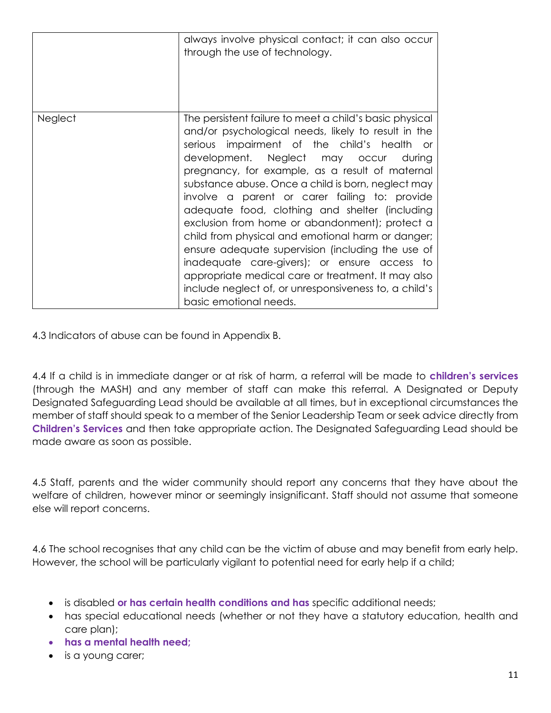|                | always involve physical contact; it can also occur<br>through the use of technology.                                                                                                                                                                                                                                                                                                                                                                                                                                                                                                                                                                                                                                                                                    |
|----------------|-------------------------------------------------------------------------------------------------------------------------------------------------------------------------------------------------------------------------------------------------------------------------------------------------------------------------------------------------------------------------------------------------------------------------------------------------------------------------------------------------------------------------------------------------------------------------------------------------------------------------------------------------------------------------------------------------------------------------------------------------------------------------|
| <b>Neglect</b> | The persistent failure to meet a child's basic physical<br>and/or psychological needs, likely to result in the<br>serious impairment of the child's health or<br>development. Neglect may occur during<br>pregnancy, for example, as a result of maternal<br>substance abuse. Once a child is born, neglect may<br>involve a parent or carer failing to: provide<br>adequate food, clothing and shelter (including<br>exclusion from home or abandonment); protect a<br>child from physical and emotional harm or danger;<br>ensure adequate supervision (including the use of<br>inadequate care-givers); or ensure access to<br>appropriate medical care or treatment. It may also<br>include neglect of, or unresponsiveness to, a child's<br>basic emotional needs. |

4.3 Indicators of abuse can be found in Appendix B.

4.4 If a child is in immediate danger or at risk of harm, a referral will be made to **children's services** (through the MASH) and any member of staff can make this referral. A Designated or Deputy Designated Safeguarding Lead should be available at all times, but in exceptional circumstances the member of staff should speak to a member of the Senior Leadership Team or seek advice directly from **Children's Services** and then take appropriate action. The Designated Safeguarding Lead should be made aware as soon as possible.

4.5 Staff, parents and the wider community should report any concerns that they have about the welfare of children, however minor or seemingly insignificant. Staff should not assume that someone else will report concerns.

4.6 The school recognises that any child can be the victim of abuse and may benefit from early help. However, the school will be particularly vigilant to potential need for early help if a child;

- is disabled **or has certain health conditions and has** specific additional needs;
- has special educational needs (whether or not they have a statutory education, health and care plan);
- **has a mental health need;**
- is a young carer;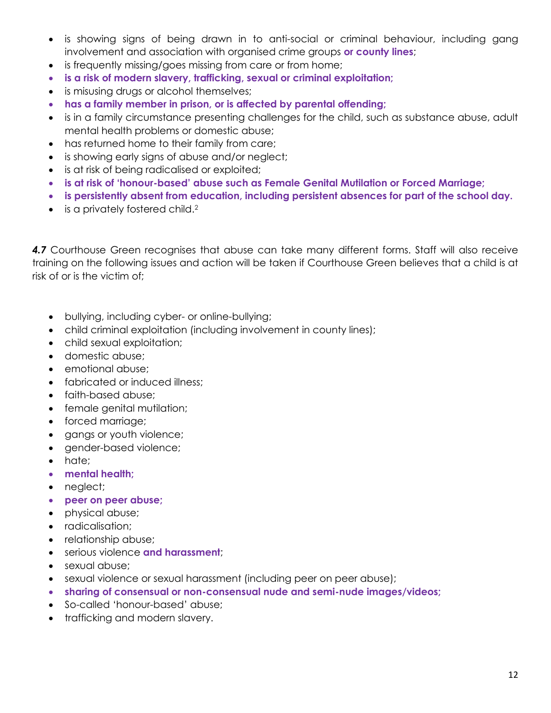- is showing signs of being drawn in to anti-social or criminal behaviour, including gang involvement and association with organised crime groups **or county lines**;
- is frequently missing/goes missing from care or from home;
- **is a risk of modern slavery, trafficking, sexual or criminal exploitation;**
- is misusing drugs or alcohol themselves;
- **has a family member in prison, or is affected by parental offending;**
- is in a family circumstance presenting challenges for the child, such as substance abuse, adult mental health problems or domestic abuse;
- has returned home to their family from care;
- is showing early signs of abuse and/or neglect;
- is at risk of being radicalised or exploited;
- **is at risk of 'honour-based' abuse such as Female Genital Mutilation or Forced Marriage;**
- **is persistently absent from education, including persistent absences for part of the school day.**
- is a privately fostered child.<sup>2</sup>

*4.7* Courthouse Green recognises that abuse can take many different forms. Staff will also receive training on the following issues and action will be taken if Courthouse Green believes that a child is at risk of or is the victim of;

- bullying, including cyber- or online-bullying;
- child criminal exploitation (including involvement in county lines);
- child sexual exploitation;
- domestic abuse;
- emotional abuse;
- fabricated or induced illness:
- faith-based abuse;
- female genital mutilation;
- forced marriage;
- gangs or youth violence;
- gender-based violence;
- hate;
- **mental health;**
- neglect;
- **peer on peer abuse;**
- physical abuse;
- radicalisation;
- relationship abuse;
- serious violence **and harassment**;
- sexual abuse;
- sexual violence or sexual harassment (including peer on peer abuse);
- **sharing of consensual or non-consensual nude and semi-nude images/videos;**
- So-called 'honour-based' abuse;
- trafficking and modern slavery.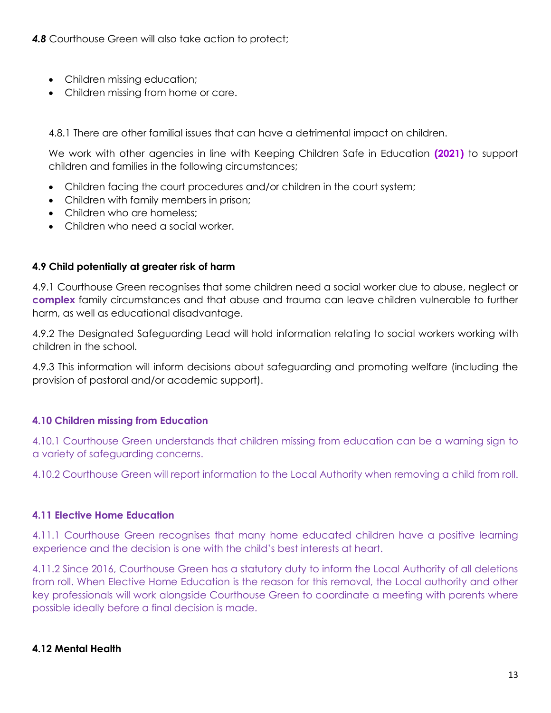- Children missing education;
- Children missing from home or care.

4.8.1 There are other familial issues that can have a detrimental impact on children.

We work with other agencies in line with Keeping Children Safe in Education **(2021)** to support children and families in the following circumstances;

- Children facing the court procedures and/or children in the court system;
- Children with family members in prison;
- Children who are homeless:
- Children who need a social worker.

#### **4.9 Child potentially at greater risk of harm**

4.9.1 Courthouse Green recognises that some children need a social worker due to abuse, neglect or **complex** family circumstances and that abuse and trauma can leave children vulnerable to further harm, as well as educational disadvantage.

4.9.2 The Designated Safeguarding Lead will hold information relating to social workers working with children in the school.

4.9.3 This information will inform decisions about safeguarding and promoting welfare (including the provision of pastoral and/or academic support).

#### **4.10 Children missing from Education**

4.10.1 Courthouse Green understands that children missing from education can be a warning sign to a variety of safeguarding concerns.

4.10.2 Courthouse Green will report information to the Local Authority when removing a child from roll.

#### **4.11 Elective Home Education**

4.11.1 Courthouse Green recognises that many home educated children have a positive learning experience and the decision is one with the child's best interests at heart.

4.11.2 Since 2016, Courthouse Green has a statutory duty to inform the Local Authority of all deletions from roll. When Elective Home Education is the reason for this removal, the Local authority and other key professionals will work alongside Courthouse Green to coordinate a meeting with parents where possible ideally before a final decision is made.

#### **4.12 Mental Health**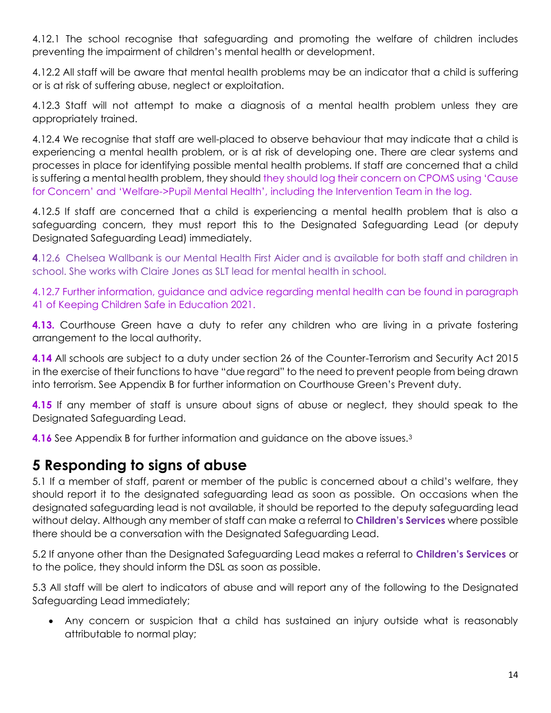4.12.1 The school recognise that safeguarding and promoting the welfare of children includes preventing the impairment of children's mental health or development.

4.12.2 All staff will be aware that mental health problems may be an indicator that a child is suffering or is at risk of suffering abuse, neglect or exploitation.

4.12.3 Staff will not attempt to make a diagnosis of a mental health problem unless they are appropriately trained.

4.12.4 We recognise that staff are well-placed to observe behaviour that may indicate that a child is experiencing a mental health problem, or is at risk of developing one. There are clear systems and processes in place for identifying possible mental health problems. If staff are concerned that a child is suffering a mental health problem, they should they should log their concern on CPOMS using 'Cause for Concern' and 'Welfare->Pupil Mental Health', including the Intervention Team in the log.

4.12.5 If staff are concerned that a child is experiencing a mental health problem that is also a safeguarding concern, they must report this to the Designated Safeguarding Lead (or deputy Designated Safeguarding Lead) immediately.

**4**.12.6 Chelsea Wallbank is our Mental Health First Aider and is available for both staff and children in school. She works with Claire Jones as SLT lead for mental health in school.

4.12.7 Further information, guidance and advice regarding mental health can be found in paragraph 41 of Keeping Children Safe in Education 2021.

**4.13.** Courthouse Green have a duty to refer any children who are living in a private fostering arrangement to the local authority.

**4.14** All schools are subject to a duty under section 26 of the Counter-Terrorism and Security Act 2015 in the exercise of their functions to have "due regard" to the need to prevent people from being drawn into terrorism. See Appendix B for further information on Courthouse Green's Prevent duty.

**4.15** If any member of staff is unsure about signs of abuse or neglect, they should speak to the Designated Safeguarding Lead.

**4.16** See Appendix B for further information and guidance on the above issues.<sup>3</sup>

### **5 Responding to signs of abuse**

5.1 If a member of staff, parent or member of the public is concerned about a child's welfare, they should report it to the designated safeguarding lead as soon as possible. On occasions when the designated safeguarding lead is not available, it should be reported to the deputy safeguarding lead without delay. Although any member of staff can make a referral to **Children's Services** where possible there should be a conversation with the Designated Safeguarding Lead.

5.2 If anyone other than the Designated Safeguarding Lead makes a referral to **Children's Services** or to the police, they should inform the DSL as soon as possible.

5.3 All staff will be alert to indicators of abuse and will report any of the following to the Designated Safeguarding Lead immediately;

• Any concern or suspicion that a child has sustained an injury outside what is reasonably attributable to normal play;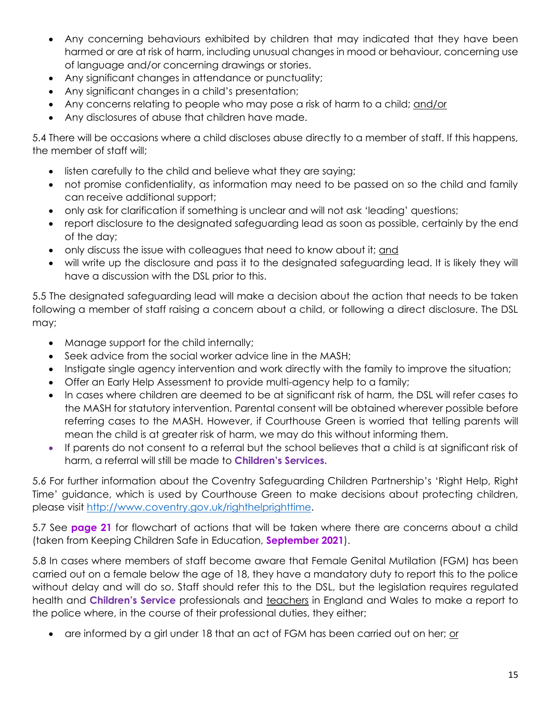- Any concerning behaviours exhibited by children that may indicated that they have been harmed or are at risk of harm, including unusual changes in mood or behaviour, concerning use of language and/or concerning drawings or stories.
- Any significant changes in attendance or punctuality;
- Any significant changes in a child's presentation;
- Any concerns relating to people who may pose a risk of harm to a child; and/or
- Any disclosures of abuse that children have made.

5.4 There will be occasions where a child discloses abuse directly to a member of staff. If this happens, the member of staff will;

- listen carefully to the child and believe what they are saying;
- not promise confidentiality, as information may need to be passed on so the child and family can receive additional support;
- only ask for clarification if something is unclear and will not ask 'leading' questions;
- report disclosure to the designated safeguarding lead as soon as possible, certainly by the end of the day;
- only discuss the issue with colleagues that need to know about it; and
- will write up the disclosure and pass it to the designated safeguarding lead. It is likely they will have a discussion with the DSL prior to this.

5.5 The designated safeguarding lead will make a decision about the action that needs to be taken following a member of staff raising a concern about a child, or following a direct disclosure. The DSL may;

- Manage support for the child internally;
- Seek advice from the social worker advice line in the MASH;
- Instigate single agency intervention and work directly with the family to improve the situation;
- Offer an Early Help Assessment to provide multi-agency help to a family;
- In cases where children are deemed to be at significant risk of harm, the DSL will refer cases to the MASH for statutory intervention. Parental consent will be obtained wherever possible before referring cases to the MASH. However, if Courthouse Green is worried that telling parents will mean the child is at greater risk of harm, we may do this without informing them.
- If parents do not consent to a referral but the school believes that a child is at significant risk of harm, a referral will still be made to **Children's Services.**

5.6 For further information about the Coventry Safeguarding Children Partnership's 'Right Help, Right Time' guidance, which is used by Courthouse Green to make decisions about protecting children, please visit [http://www.coventry.gov.uk/righthelprighttime.](http://www.coventry.gov.uk/righthelprighttime)

5.7 See **page 21** for flowchart of actions that will be taken where there are concerns about a child (taken from Keeping Children Safe in Education, **September 2021**).

5.8 In cases where members of staff become aware that Female Genital Mutilation (FGM) has been carried out on a female below the age of 18, they have a mandatory duty to report this to the police without delay and will do so. Staff should refer this to the DSL, but the legislation requires regulated health and **Children's Service** professionals and teachers in England and Wales to make a report to the police where, in the course of their professional duties, they either;

• are informed by a girl under 18 that an act of FGM has been carried out on her; or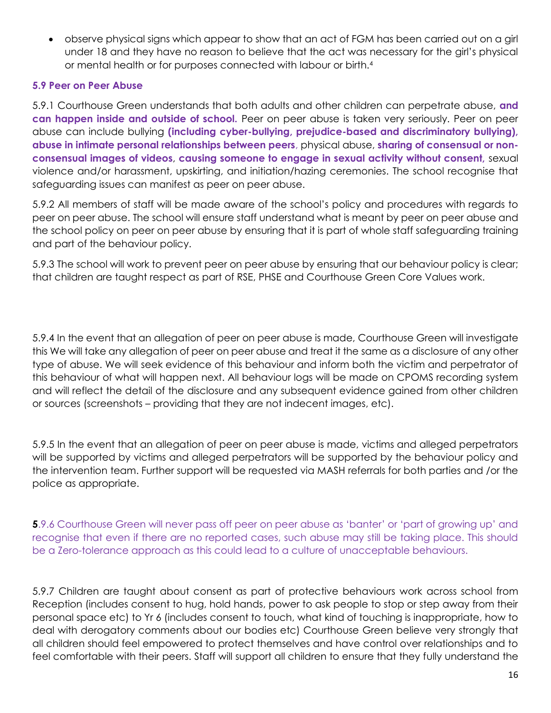• observe physical signs which appear to show that an act of FGM has been carried out on a girl under 18 and they have no reason to believe that the act was necessary for the girl's physical or mental health or for purposes connected with labour or birth.<sup>4</sup>

#### **5.9 Peer on Peer Abuse**

5.9.1 Courthouse Green understands that both adults and other children can perpetrate abuse, **and can happen inside and outside of school.** Peer on peer abuse is taken very seriously. Peer on peer abuse can include bullying **(including cyber-bullying, prejudice-based and discriminatory bullying), abuse in intimate personal relationships between peers**, physical abuse, **sharing of consensual or nonconsensual images of videos**, **causing someone to engage in sexual activity without consent,** sexual violence and/or harassment, upskirting, and initiation/hazing ceremonies. The school recognise that safeguarding issues can manifest as peer on peer abuse.

5.9.2 All members of staff will be made aware of the school's policy and procedures with regards to peer on peer abuse. The school will ensure staff understand what is meant by peer on peer abuse and the school policy on peer on peer abuse by ensuring that it is part of whole staff safeguarding training and part of the behaviour policy.

5.9.3 The school will work to prevent peer on peer abuse by ensuring that our behaviour policy is clear; that children are taught respect as part of RSE, PHSE and Courthouse Green Core Values work.

5.9.4 In the event that an allegation of peer on peer abuse is made, Courthouse Green will investigate this We will take any allegation of peer on peer abuse and treat it the same as a disclosure of any other type of abuse. We will seek evidence of this behaviour and inform both the victim and perpetrator of this behaviour of what will happen next. All behaviour logs will be made on CPOMS recording system and will reflect the detail of the disclosure and any subsequent evidence gained from other children or sources (screenshots – providing that they are not indecent images, etc).

5.9.5 In the event that an allegation of peer on peer abuse is made, victims and alleged perpetrators will be supported by victims and alleged perpetrators will be supported by the behaviour policy and the intervention team. Further support will be requested via MASH referrals for both parties and /or the police as appropriate.

**5**.9.6 Courthouse Green will never pass off peer on peer abuse as 'banter' or 'part of growing up' and recognise that even if there are no reported cases, such abuse may still be taking place. This should be a Zero-tolerance approach as this could lead to a culture of unacceptable behaviours.

5.9.7 Children are taught about consent as part of protective behaviours work across school from Reception (includes consent to hug, hold hands, power to ask people to stop or step away from their personal space etc) to Yr 6 (includes consent to touch, what kind of touching is inappropriate, how to deal with derogatory comments about our bodies etc) Courthouse Green believe very strongly that all children should feel empowered to protect themselves and have control over relationships and to feel comfortable with their peers. Staff will support all children to ensure that they fully understand the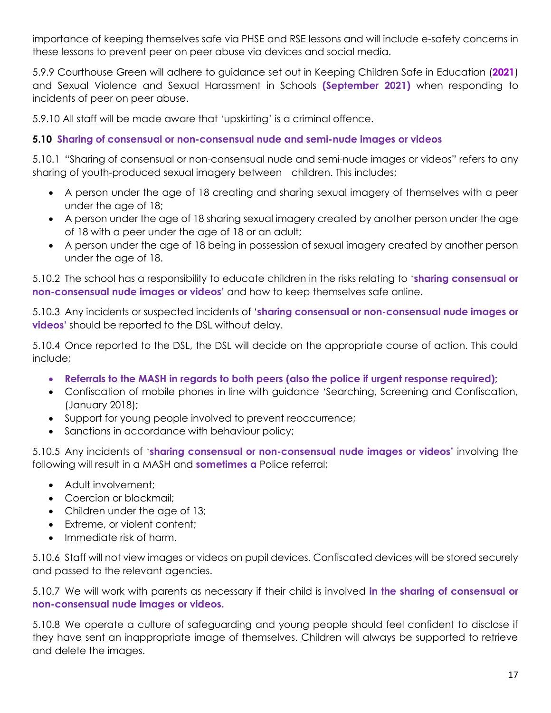importance of keeping themselves safe via PHSE and RSE lessons and will include e-safety concerns in these lessons to prevent peer on peer abuse via devices and social media.

5.9.9 Courthouse Green will adhere to guidance set out in Keeping Children Safe in Education (**2021**) and Sexual Violence and Sexual Harassment in Schools **(September 2021)** when responding to incidents of peer on peer abuse.

5.9.10 All staff will be made aware that 'upskirting' is a criminal offence.

#### **5.10 Sharing of consensual or non-consensual nude and semi-nude images or videos**

5.10.1 "Sharing of consensual or non-consensual nude and semi-nude images or videos" refers to any sharing of youth-produced sexual imagery between children. This includes;

- A person under the age of 18 creating and sharing sexual imagery of themselves with a peer under the age of 18;
- A person under the age of 18 sharing sexual imagery created by another person under the age of 18 with a peer under the age of 18 or an adult;
- A person under the age of 18 being in possession of sexual imagery created by another person under the age of 18.

5.10.2 The school has a responsibility to educate children in the risks relating to '**sharing consensual or non-consensual nude images or videos'** and how to keep themselves safe online.

5.10.3 Any incidents or suspected incidents of '**sharing consensual or non-consensual nude images or videos'** should be reported to the DSL without delay.

5.10.4 Once reported to the DSL, the DSL will decide on the appropriate course of action. This could include;

- **Referrals to the MASH in regards to both peers (also the police if urgent response required);**
- Confiscation of mobile phones in line with guidance 'Searching, Screening and Confiscation, (January 2018);
- Support for young people involved to prevent reoccurrence;
- Sanctions in accordance with behaviour policy;

5.10.5 Any incidents of '**sharing consensual or non-consensual nude images or videos'** involving the following will result in a MASH and **sometimes a** Police referral;

- Adult involvement;
- Coercion or blackmail:
- Children under the age of 13;
- Extreme, or violent content;
- Immediate risk of harm.

5.10.6 Staff will not view images or videos on pupil devices. Confiscated devices will be stored securely and passed to the relevant agencies.

5.10.7 We will work with parents as necessary if their child is involved **in the sharing of consensual or non-consensual nude images or videos.**

5.10.8 We operate a culture of safeguarding and young people should feel confident to disclose if they have sent an inappropriate image of themselves. Children will always be supported to retrieve and delete the images.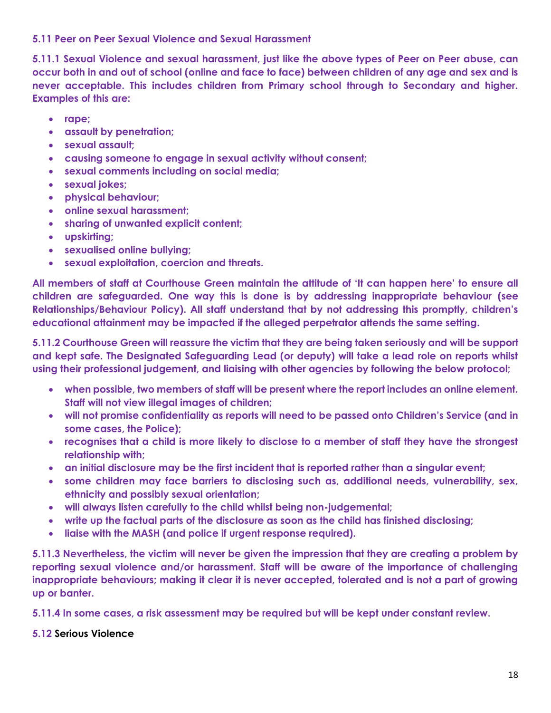#### **5.11 Peer on Peer Sexual Violence and Sexual Harassment**

**5.11.1 Sexual Violence and sexual harassment, just like the above types of Peer on Peer abuse, can occur both in and out of school (online and face to face) between children of any age and sex and is never acceptable. This includes children from Primary school through to Secondary and higher. Examples of this are:**

- **rape;**
- **assault by penetration;**
- **sexual assault;**
- **causing someone to engage in sexual activity without consent;**
- **sexual comments including on social media;**
- **sexual jokes;**
- **physical behaviour;**
- **online sexual harassment;**
- **sharing of unwanted explicit content;**
- **upskirting;**
- **sexualised online bullying;**
- **sexual exploitation, coercion and threats.**

**All members of staff at Courthouse Green maintain the attitude of 'It can happen here' to ensure all children are safeguarded. One way this is done is by addressing inappropriate behaviour (see Relationships/Behaviour Policy). All staff understand that by not addressing this promptly, children's educational attainment may be impacted if the alleged perpetrator attends the same setting.** 

**5.11.2 Courthouse Green will reassure the victim that they are being taken seriously and will be support and kept safe. The Designated Safeguarding Lead (or deputy) will take a lead role on reports whilst using their professional judgement, and liaising with other agencies by following the below protocol;**

- **when possible, two members of staff will be present where the report includes an online element. Staff will not view illegal images of children;**
- **will not promise confidentiality as reports will need to be passed onto Children's Service (and in some cases, the Police);**
- **recognises that a child is more likely to disclose to a member of staff they have the strongest relationship with;**
- **an initial disclosure may be the first incident that is reported rather than a singular event;**
- **some children may face barriers to disclosing such as, additional needs, vulnerability, sex, ethnicity and possibly sexual orientation;**
- **will always listen carefully to the child whilst being non-judgemental;**
- **write up the factual parts of the disclosure as soon as the child has finished disclosing;**
- **liaise with the MASH (and police if urgent response required).**

**5.11.3 Nevertheless, the victim will never be given the impression that they are creating a problem by reporting sexual violence and/or harassment. Staff will be aware of the importance of challenging inappropriate behaviours; making it clear it is never accepted, tolerated and is not a part of growing up or banter.** 

**5.11.4 In some cases, a risk assessment may be required but will be kept under constant review.** 

#### **5.12 Serious Violence**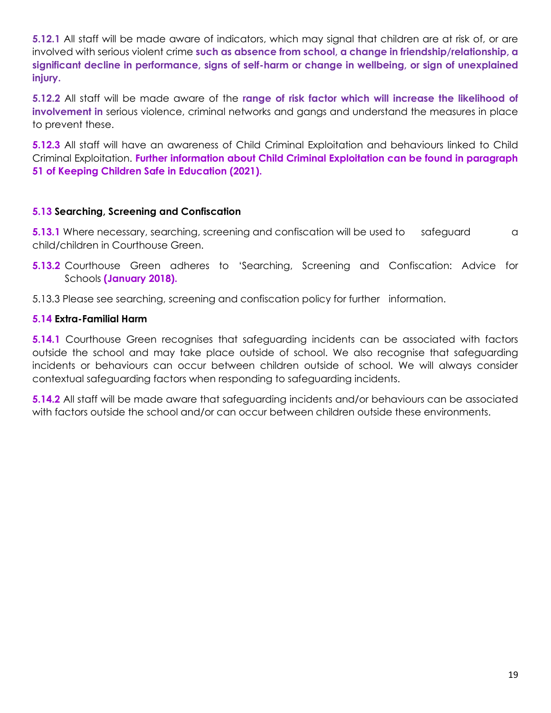**5.12.1** All staff will be made aware of indicators, which may signal that children are at risk of, or are involved with serious violent crime **such as absence from school, a change in friendship/relationship, a significant decline in performance, signs of self-harm or change in wellbeing, or sign of unexplained injury.**

**5.12.2** All staff will be made aware of the **range of risk factor which will increase the likelihood of involvement in** serious violence, criminal networks and gangs and understand the measures in place to prevent these.

**5.12.3** All staff will have an awareness of Child Criminal Exploitation and behaviours linked to Child Criminal Exploitation. **Further information about Child Criminal Exploitation can be found in paragraph 51 of Keeping Children Safe in Education (2021).** 

#### **5.13 Searching, Screening and Confiscation**

**5.13.1** Where necessary, searching, screening and confiscation will be used to safeguard a child/children in Courthouse Green.

**5.13.2** Courthouse Green adheres to 'Searching, Screening and Confiscation: Advice for Schools **(January 2018).**

5.13.3 Please see searching, screening and confiscation policy for further information.

#### **5.14 Extra-Familial Harm**

**5.14.1** Courthouse Green recognises that safeguarding incidents can be associated with factors outside the school and may take place outside of school. We also recognise that safeguarding incidents or behaviours can occur between children outside of school. We will always consider contextual safeguarding factors when responding to safeguarding incidents.

**5.14.2** All staff will be made aware that safeguarding incidents and/or behaviours can be associated with factors outside the school and/or can occur between children outside these environments.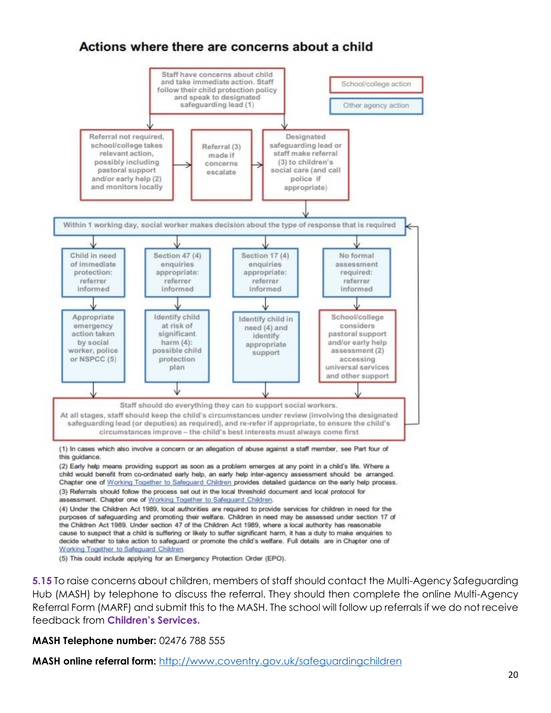#### Actions where there are concerns about a child



Working Together to Safeguard Children.

(5) This could include applying for an Emergency Protection Order (EPO).

**5.15** To raise concerns about children, members of staff should contact the Multi-Agency Safeguarding Hub (MASH) by telephone to discuss the referral. They should then complete the online Multi-Agency Referral Form (MARF) and submit this to the MASH. The school will follow up referrals if we do not receive feedback from **Children's Services.**

**MASH Telephone number:** 02476 788 555

**MASH online referral form:** <http://www.coventry.gov.uk/safeguardingchildren>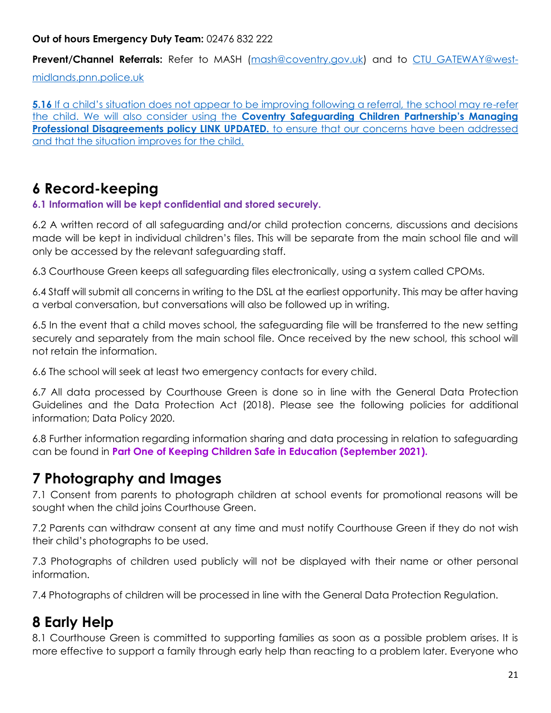#### **Out of hours Emergency Duty Team:** 02476 832 222

**Prevent/Channel Referrals:** Refer to MASH [\(mash@coventry.gov.uk\)](mailto:mash@coventry.gov.uk) and to [CTU\\_GATEWAY@west-](mailto:CTU_GATEWAY@west-midlands.pnn.police.uk)

[midlands.pnn.police.uk](mailto:CTU_GATEWAY@west-midlands.pnn.police.uk)

**5.16** If a child's situation does not appear to be improving following a referral, the school may re-refer the child. We will also consider using the **[Coventry Safeguarding Children Partnership's Managing](https://westmidlands.procedures.org.uk/ykpzx/statutory-child-protection-procedures/managing-professional-disagreements)  [Professional Disagreements policy LINK UPDATED.](https://westmidlands.procedures.org.uk/ykpzx/statutory-child-protection-procedures/managing-professional-disagreements)** to ensure that our concerns have been addressed and that the situation improves for the child.

### **6 Record-keeping**

#### **6.1 Information will be kept confidential and stored securely.**

6.2 A written record of all safeguarding and/or child protection concerns, discussions and decisions made will be kept in individual children's files. This will be separate from the main school file and will only be accessed by the relevant safeguarding staff.

6.3 Courthouse Green keeps all safeguarding files electronically, using a system called CPOMs.

6.4 Staff will submit all concerns in writing to the DSL at the earliest opportunity. This may be after having a verbal conversation, but conversations will also be followed up in writing.

6.5 In the event that a child moves school, the safeguarding file will be transferred to the new setting securely and separately from the main school file. Once received by the new school, this school will not retain the information.

6.6 The school will seek at least two emergency contacts for every child.

6.7 All data processed by Courthouse Green is done so in line with the General Data Protection Guidelines and the Data Protection Act (2018). Please see the following policies for additional information; Data Policy 2020.

6.8 Further information regarding information sharing and data processing in relation to safeguarding can be found in **Part One of Keeping Children Safe in Education (September 2021).** 

### **7 Photography and Images**

7.1 Consent from parents to photograph children at school events for promotional reasons will be sought when the child joins Courthouse Green.

7.2 Parents can withdraw consent at any time and must notify Courthouse Green if they do not wish their child's photographs to be used.

7.3 Photographs of children used publicly will not be displayed with their name or other personal information.

7.4 Photographs of children will be processed in line with the General Data Protection Regulation.

### **8 Early Help**

8.1 Courthouse Green is committed to supporting families as soon as a possible problem arises. It is more effective to support a family through early help than reacting to a problem later. Everyone who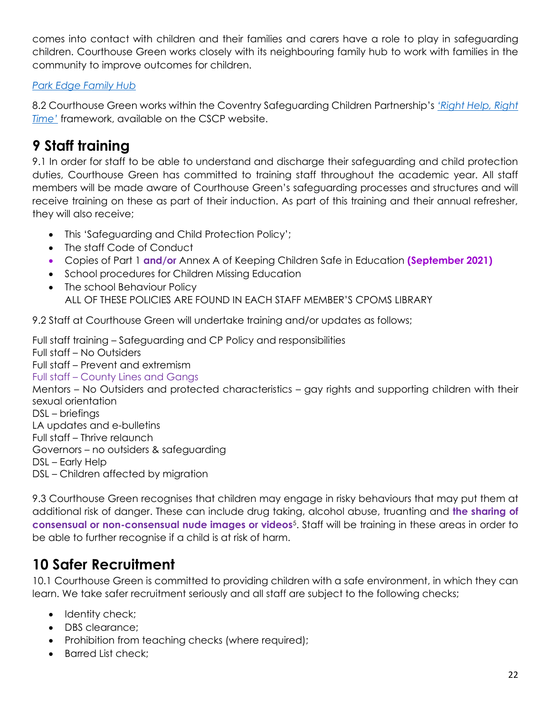comes into contact with children and their families and carers have a role to play in safeguarding children. Courthouse Green works closely with its neighbouring family hub to work with families in the community to improve outcomes for children.

#### *[Park Edge Family Hub](https://www.coventry.gov.uk/directory_record/35117/park_edge_family_hub/category/60/family_hubs)*

8.2 Courthouse Green works within the Coventry Safeguarding Children Partnership's *['Right Help, Right](http://www.coventry.gov.uk/righthelprighttime)  [Time'](http://www.coventry.gov.uk/righthelprighttime)* framework, available on the CSCP website.

### **9 Staff training**

9.1 In order for staff to be able to understand and discharge their safeguarding and child protection duties, Courthouse Green has committed to training staff throughout the academic year. All staff members will be made aware of Courthouse Green's safeguarding processes and structures and will receive training on these as part of their induction. As part of this training and their annual refresher, they will also receive;

- This 'Safeguarding and Child Protection Policy';
- The staff Code of Conduct
- Copies of Part 1 **and/or** Annex A of Keeping Children Safe in Education **(September 2021)**
- School procedures for Children Missing Education
- The school Behaviour Policy ALL OF THESE POLICIES ARE FOUND IN EACH STAFF MEMBER'S CPOMS LIBRARY

9.2 Staff at Courthouse Green will undertake training and/or updates as follows;

Full staff training – Safeguarding and CP Policy and responsibilities Full staff – No Outsiders Full staff – Prevent and extremism Full staff – County Lines and Gangs Mentors – No Outsiders and protected characteristics – gay rights and supporting children with their sexual orientation DSL – briefings LA updates and e-bulletins Full staff – Thrive relaunch Governors – no outsiders & safeguarding DSL – Early Help DSL – Children affected by migration

9.3 Courthouse Green recognises that children may engage in risky behaviours that may put them at additional risk of danger. These can include drug taking, alcohol abuse, truanting and **the sharing of consensual or non-consensual nude images or videos**<sup>5</sup> . Staff will be training in these areas in order to be able to further recognise if a child is at risk of harm.

## **10 Safer Recruitment**

10.1 Courthouse Green is committed to providing children with a safe environment, in which they can learn. We take safer recruitment seriously and all staff are subject to the following checks;

- Identity check;
- DBS clearance:
- Prohibition from teaching checks (where required);
- Barred List check;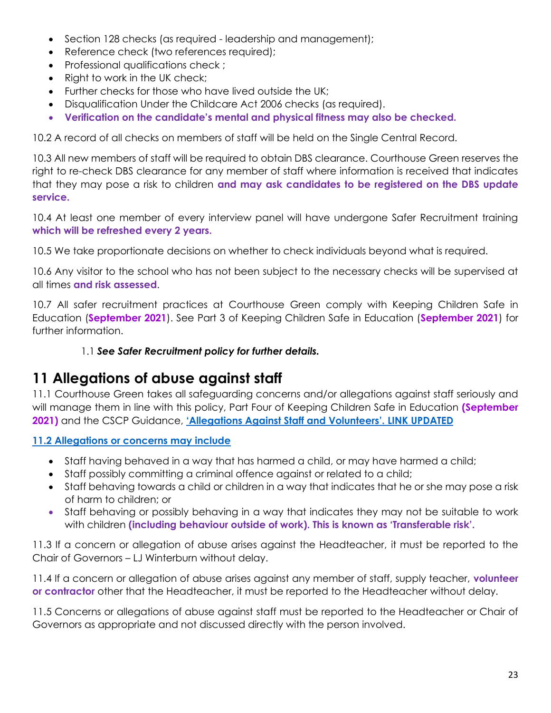- Section 128 checks (as required leadership and management);
- Reference check (two references required);
- Professional qualifications check ;
- Right to work in the UK check;
- Further checks for those who have lived outside the UK;
- Disqualification Under the Childcare Act 2006 checks (as required).
- **Verification on the candidate's mental and physical fitness may also be checked.**

10.2 A record of all checks on members of staff will be held on the Single Central Record.

10.3 All new members of staff will be required to obtain DBS clearance. Courthouse Green reserves the right to re-check DBS clearance for any member of staff where information is received that indicates that they may pose a risk to children **and may ask candidates to be registered on the DBS update service.**

10.4 At least one member of every interview panel will have undergone Safer Recruitment training **which will be refreshed every 2 years.**

10.5 We take proportionate decisions on whether to check individuals beyond what is required.

10.6 Any visitor to the school who has not been subject to the necessary checks will be supervised at all times **and risk assessed**.

10.7 All safer recruitment practices at Courthouse Green comply with Keeping Children Safe in Education (**September 2021**). See Part 3 of Keeping Children Safe in Education (**September 2021**) for further information.

#### 1.1 *See Safer Recruitment policy for further details.*

### **11 Allegations of abuse against staff**

11.1 Courthouse Green takes all safeguarding concerns and/or allegations against staff seriously and will manage them in line with this policy, Part Four of Keeping Children Safe in Education **(September 2021)** and the CSCP Guidance, **['Allegations Against Staff and Volunteers'.](https://westmidlands.procedures.org.uk/ykpzy/statutory-child-protection-procedures/allegations-against-staff-or-volunteers) LINK UPDATED**

#### **11.2 Allegations or concerns may include**

- Staff having behaved in a way that has harmed a child, or may have harmed a child;
- Staff possibly committing a criminal offence against or related to a child;
- Staff behaving towards a child or children in a way that indicates that he or she may pose a risk of harm to children; or
- Staff behaving or possibly behaving in a way that indicates they may not be suitable to work with children **(including behaviour outside of work). This is known as 'Transferable risk'.**

11.3 If a concern or allegation of abuse arises against the Headteacher, it must be reported to the Chair of Governors – LJ Winterburn without delay.

11.4 If a concern or allegation of abuse arises against any member of staff, supply teacher, **volunteer or contractor** other that the Headteacher, it must be reported to the Headteacher without delay.

11.5 Concerns or allegations of abuse against staff must be reported to the Headteacher or Chair of Governors as appropriate and not discussed directly with the person involved.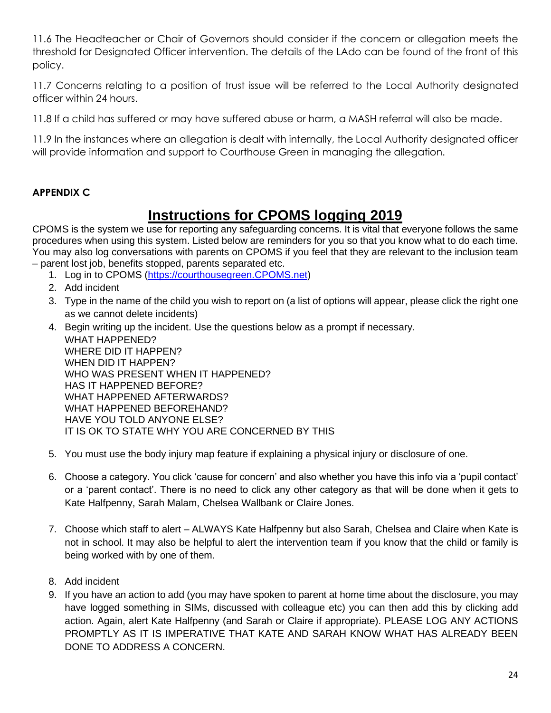11.6 The Headteacher or Chair of Governors should consider if the concern or allegation meets the threshold for Designated Officer intervention. The details of the LAdo can be found of the front of this policy.

11.7 Concerns relating to a position of trust issue will be referred to the Local Authority designated officer within 24 hours.

11.8 If a child has suffered or may have suffered abuse or harm, a MASH referral will also be made.

11.9 In the instances where an allegation is dealt with internally, the Local Authority designated officer will provide information and support to Courthouse Green in managing the allegation.

#### **APPENDIX C**

### **Instructions for CPOMS logging 2019**

CPOMS is the system we use for reporting any safeguarding concerns. It is vital that everyone follows the same procedures when using this system. Listed below are reminders for you so that you know what to do each time. You may also log conversations with parents on CPOMS if you feel that they are relevant to the inclusion team – parent lost job, benefits stopped, parents separated etc.

- 1. Log in to CPOMS [\(https://courthousegreen.CPOMS.net\)](https://courthousegreen.cpoms.net/)
- 2. Add incident
- 3. Type in the name of the child you wish to report on (a list of options will appear, please click the right one as we cannot delete incidents)
- 4. Begin writing up the incident. Use the questions below as a prompt if necessary. WHAT HAPPENED? WHERE DID IT HAPPEN? WHEN DID IT HAPPEN? WHO WAS PRESENT WHEN IT HAPPENED? HAS IT HAPPENED BEFORE? WHAT HAPPENED AFTERWARDS? WHAT HAPPENED BEFOREHAND? HAVE YOU TOLD ANYONE ELSE? IT IS OK TO STATE WHY YOU ARE CONCERNED BY THIS
- 5. You must use the body injury map feature if explaining a physical injury or disclosure of one.
- 6. Choose a category. You click 'cause for concern' and also whether you have this info via a 'pupil contact' or a 'parent contact'. There is no need to click any other category as that will be done when it gets to Kate Halfpenny, Sarah Malam, Chelsea Wallbank or Claire Jones.
- 7. Choose which staff to alert ALWAYS Kate Halfpenny but also Sarah, Chelsea and Claire when Kate is not in school. It may also be helpful to alert the intervention team if you know that the child or family is being worked with by one of them.
- 8. Add incident
- 9. If you have an action to add (you may have spoken to parent at home time about the disclosure, you may have logged something in SIMs, discussed with colleague etc) you can then add this by clicking add action. Again, alert Kate Halfpenny (and Sarah or Claire if appropriate). PLEASE LOG ANY ACTIONS PROMPTLY AS IT IS IMPERATIVE THAT KATE AND SARAH KNOW WHAT HAS ALREADY BEEN DONE TO ADDRESS A CONCERN.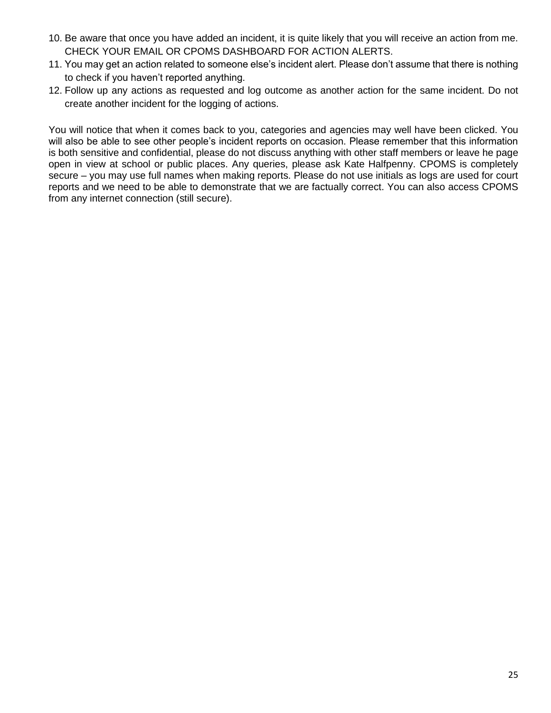- 10. Be aware that once you have added an incident, it is quite likely that you will receive an action from me. CHECK YOUR EMAIL OR CPOMS DASHBOARD FOR ACTION ALERTS.
- 11. You may get an action related to someone else's incident alert. Please don't assume that there is nothing to check if you haven't reported anything.
- 12. Follow up any actions as requested and log outcome as another action for the same incident. Do not create another incident for the logging of actions.

You will notice that when it comes back to you, categories and agencies may well have been clicked. You will also be able to see other people's incident reports on occasion. Please remember that this information is both sensitive and confidential, please do not discuss anything with other staff members or leave he page open in view at school or public places. Any queries, please ask Kate Halfpenny. CPOMS is completely secure – you may use full names when making reports. Please do not use initials as logs are used for court reports and we need to be able to demonstrate that we are factually correct. You can also access CPOMS from any internet connection (still secure).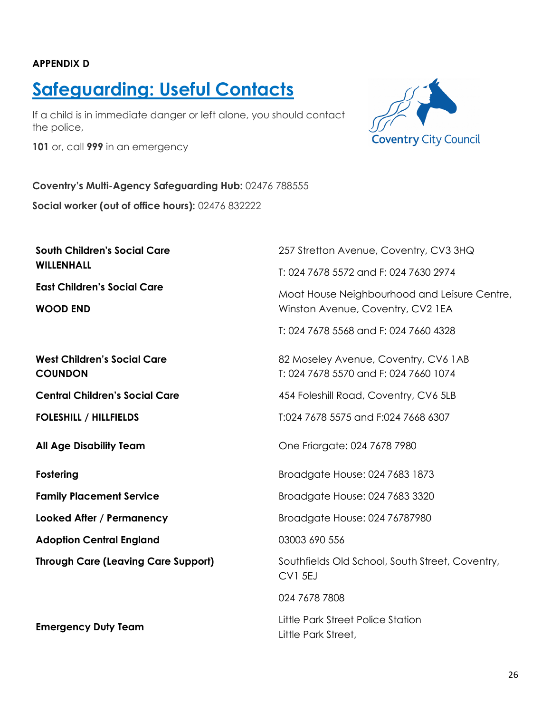#### **APPENDIX D**

# **Safeguarding: Useful Contacts**

If a child is in immediate danger or left alone, you should contact the police,

**101** or, call **999** in an emergency



#### **Coventry's Multi-Agency Safeguarding Hub:** 02476 788555

**Social worker (out of office hours):** 02476 832222

**South Children's Social Care WILLENHALL**

**East Children's Social Care**

**WOOD END**

**West Children's Social Care COUNDON**

**Central Children's Social Care**

**FOLESHILL / HILLFIELDS**

**Fostering** 

**Family Placement Service**

**Looked After / Permanency**

**Adoption Central England**

**Through Care (Leaving Care Support)** 

**Emergency Duty Team**

257 Stretton Avenue, Coventry, CV3 3HQ T: 024 7678 5572 and F: 024 7630 2974 Moat House Neighbourhood and Leisure Centre, Winston Avenue, Coventry, CV2 1EA T: 024 7678 5568 and F: 024 7660 4328 82 Moseley Avenue, Coventry, CV6 1AB T: 024 7678 5570 and F: 024 7660 1074 454 Foleshill Road, Coventry, CV6 5LB T:024 7678 5575 and F:024 7668 6307 **All Age Disability Team**   $\qquad \qquad$  One Friargate: 024 7678 7980 Broadgate House: 024 7683 1873 Broadgate House: 024 7683 3320 Broadgate House: 024 76787980 03003 690 556

Southfields Old School, South Street, Coventry,

CV1 5EJ

024 7678 7808

Little Park Street,

Little Park Street Police Station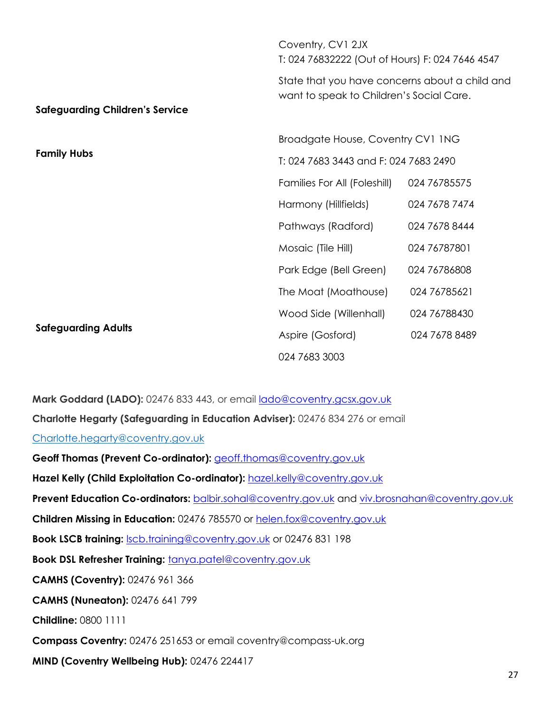|                                        | Coventry, CV1 2JX<br>T: 024 76832222 (Out of Hours) F: 024 7646 4547                       |               |
|----------------------------------------|--------------------------------------------------------------------------------------------|---------------|
| <b>Safeguarding Children's Service</b> | State that you have concerns about a child and<br>want to speak to Children's Social Care. |               |
|                                        |                                                                                            |               |
|                                        | Broadgate House, Coventry CV1 1NG                                                          |               |
| <b>Family Hubs</b>                     | T: 024 7683 3443 and F: 024 7683 2490                                                      |               |
|                                        | Families For All (Foleshill)                                                               | 024 76785575  |
|                                        | Harmony (Hillfields)                                                                       | 024 7678 7474 |
|                                        | Pathways (Radford)                                                                         | 024 7678 8444 |
|                                        | Mosaic (Tile Hill)                                                                         | 024 76787801  |
|                                        | Park Edge (Bell Green)                                                                     | 024 76786808  |
|                                        | The Moat (Moathouse)                                                                       | 024 76785621  |
|                                        | Wood Side (Willenhall)                                                                     | 024 76788430  |
| <b>Safeguarding Adults</b>             | Aspire (Gosford)                                                                           | 024 7678 8489 |
|                                        | 024 7683 3003                                                                              |               |

Mark Goddard (LADO): 02476 833 443, or email **lado@coventry.gcsx.gov.uk Charlotte Hegarty (Safeguarding in Education Adviser):** 02476 834 276 or ema[il](mailto:Charlotte.hegarty@coventry.gov.uk) [Charlotte.hegarty@coventry.gov.uk](mailto:Charlotte.hegarty@coventry.gov.uk) Geoff Thomas (Prevent Co-ordinator): **[geoff.thomas@coventry.gov.uk](mailto:geoff.thomas@coventry.gov.uk)** Hazel Kelly (Child Exploitation Co-ordinator): [hazel.kelly@coventry.gov.uk](mailto:hazel.kelly@coventry.gov.uk) **Prevent Education Co-ordinators:** [balbir.sohal@coventry.gov.uk](mailto:balbir.sohal@coventry.gov.uk) and [viv.brosnahan@coventry.gov.uk](mailto:viv.brosnahan@coventry.gov.uk) **Children Missing in Education:** 02476 785570 or [helen.fox@coventry.gov.uk](mailto:helen.fox@coventry.gov.uk) **Book LSCB training: Scb.training@coventry.gov.uk** or 02476 831 198 **Book DSL Refresher Training: <b>[tanya.patel@coventry.gov.uk](mailto:tanya.patel@coventry.gov.uk) CAMHS (Coventry):** 02476 961 366 **CAMHS (Nuneaton):** 02476 641 799 **Childline:** 0800 1111 **Compass Coventry:** 02476 251653 or email coventry@compass-uk.org

**MIND (Coventry Wellbeing Hub):** 02476 224417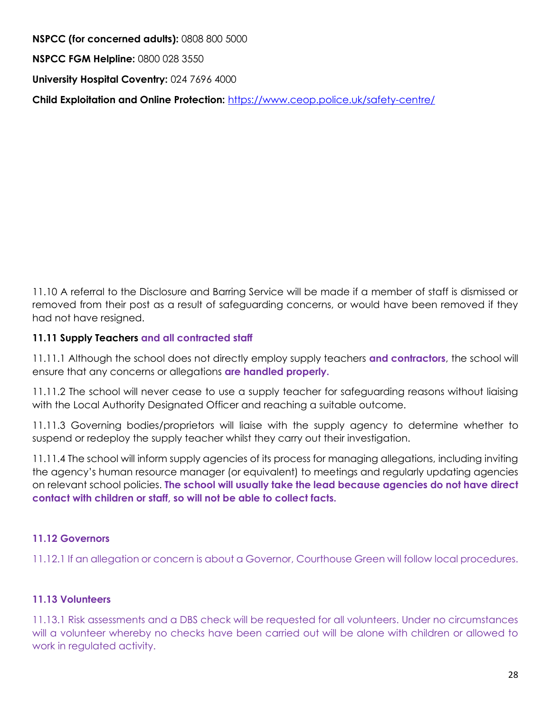**NSPCC (for concerned adults):** 0808 800 5000 **NSPCC FGM Helpline:** 0800 028 3550 **University Hospital Coventry:** 024 7696 4000 **Child Exploitation and Online Protection:** <https://www.ceop.police.uk/safety-centre/>

11.10 A referral to the Disclosure and Barring Service will be made if a member of staff is dismissed or removed from their post as a result of safeguarding concerns, or would have been removed if they had not have resigned.

#### **11.11 Supply Teachers and all contracted staff**

11.11.1 Although the school does not directly employ supply teachers **and contractors**, the school will ensure that any concerns or allegations **are handled properly.**

11.11.2 The school will never cease to use a supply teacher for safeguarding reasons without liaising with the Local Authority Designated Officer and reaching a suitable outcome.

11.11.3 Governing bodies/proprietors will liaise with the supply agency to determine whether to suspend or redeploy the supply teacher whilst they carry out their investigation.

11.11.4 The school will inform supply agencies of its process for managing allegations, including inviting the agency's human resource manager (or equivalent) to meetings and regularly updating agencies on relevant school policies. **The school will usually take the lead because agencies do not have direct contact with children or staff, so will not be able to collect facts.**

#### **11.12 Governors**

11.12.1 If an allegation or concern is about a Governor, Courthouse Green will follow local procedures.

#### **11.13 Volunteers**

11.13.1 Risk assessments and a DBS check will be requested for all volunteers. Under no circumstances will a volunteer whereby no checks have been carried out will be alone with children or allowed to work in regulated activity.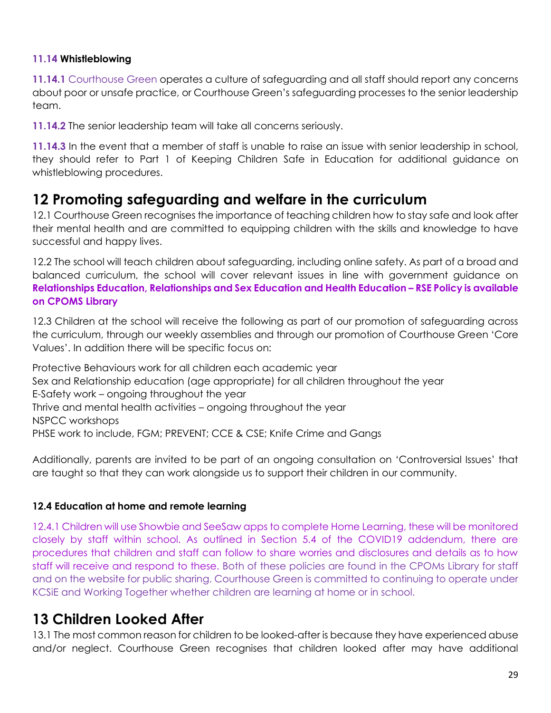#### **11.14 Whistleblowing**

**11.14.1** Courthouse Green operates a culture of safeguarding and all staff should report any concerns about poor or unsafe practice, or Courthouse Green's safeguarding processes to the senior leadership team.

**11.14.2** The senior leadership team will take all concerns seriously.

**11.14.3** In the event that a member of staff is unable to raise an issue with senior leadership in school, they should refer to Part 1 of Keeping Children Safe in Education for additional guidance on whistleblowing procedures.

### **12 Promoting safeguarding and welfare in the curriculum**

12.1 Courthouse Green recognises the importance of teaching children how to stay safe and look after their mental health and are committed to equipping children with the skills and knowledge to have successful and happy lives.

12.2 The school will teach children about safeguarding, including online safety. As part of a broad and balanced curriculum, the school will cover relevant issues in line with government guidance on **Relationships Education, Relationships and Sex Education and Health Education – RSE Policy is available on CPOMS Library**

12.3 Children at the school will receive the following as part of our promotion of safeguarding across the curriculum, through our weekly assemblies and through our promotion of Courthouse Green 'Core Values'. In addition there will be specific focus on:

Protective Behaviours work for all children each academic year Sex and Relationship education (age appropriate) for all children throughout the year E-Safety work – ongoing throughout the year Thrive and mental health activities – ongoing throughout the year NSPCC workshops PHSE work to include, FGM; PREVENT; CCE & CSE; Knife Crime and Gangs

Additionally, parents are invited to be part of an ongoing consultation on 'Controversial Issues' that are taught so that they can work alongside us to support their children in our community.

#### **12.4 Education at home and remote learning**

12.4.1 Children will use Showbie and SeeSaw apps to complete Home Learning, these will be monitored closely by staff within school. As outlined in Section 5.4 of the COVID19 addendum, there are procedures that children and staff can follow to share worries and disclosures and details as to how staff will receive and respond to these. Both of these policies are found in the CPOMs Library for staff and on the website for public sharing. Courthouse Green is committed to continuing to operate under KCSiE and Working Together whether children are learning at home or in school.

### **13 Children Looked After**

13.1 The most common reason for children to be looked-after is because they have experienced abuse and/or neglect. Courthouse Green recognises that children looked after may have additional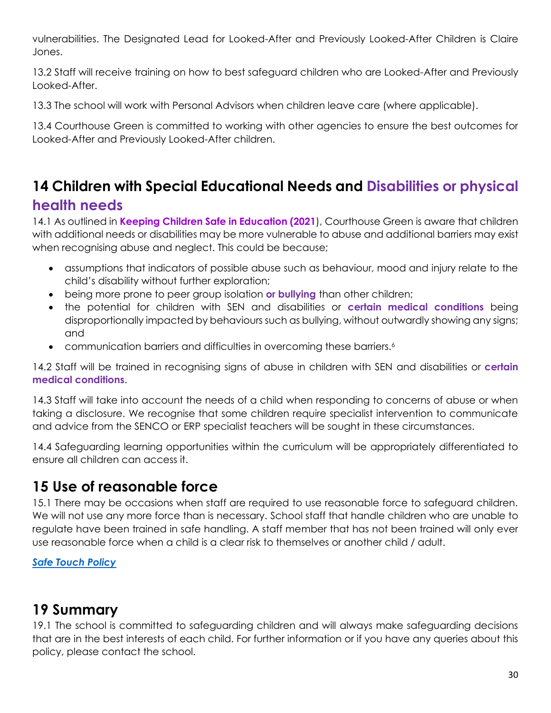vulnerabilities. The Designated Lead for Looked-After and Previously Looked-After Children is Claire Jones.

13.2 Staff will receive training on how to best safeguard children who are Looked-After and Previously Looked-After.

13.3 The school will work with Personal Advisors when children leave care (where applicable).

13.4 Courthouse Green is committed to working with other agencies to ensure the best outcomes for Looked-After and Previously Looked-After children.

# **14 Children with Special Educational Needs and Disabilities or physical health needs**

14.1 As outlined in **Keeping Children Safe in Education (2021**), Courthouse Green is aware that children with additional needs or disabilities may be more vulnerable to abuse and additional barriers may exist when recognising abuse and neglect. This could be because;

- assumptions that indicators of possible abuse such as behaviour, mood and injury relate to the child's disability without further exploration;
- being more prone to peer group isolation **or bullying** than other children;
- the potential for children with SEN and disabilities or **certain medical conditions** being disproportionally impacted by behaviours such as bullying, without outwardly showing any signs; and
- communication barriers and difficulties in overcoming these barriers.<sup>6</sup>

14.2 Staff will be trained in recognising signs of abuse in children with SEN and disabilities or **certain medical conditions**.

14.3 Staff will take into account the needs of a child when responding to concerns of abuse or when taking a disclosure. We recognise that some children require specialist intervention to communicate and advice from the SENCO or ERP specialist teachers will be sought in these circumstances.

14.4 Safeguarding learning opportunities within the curriculum will be appropriately differentiated to ensure all children can access it.

## **15 Use of reasonable force**

15.1 There may be occasions when staff are required to use reasonable force to safeguard children. We will not use any more force than is necessary. School staff that handle children who are unable to regulate have been trained in safe handling. A staff member that has not been trained will only ever use reasonable force when a child is a clear risk to themselves or another child / adult.

#### *[Safe Touch Policy](file://///ictserver2/pupils/Policies%202017/Safe%20Touch%20Policy%202018-21.doc)*

### **19 Summary**

19.1 The school is committed to safeguarding children and will always make safeguarding decisions that are in the best interests of each child. For further information or if you have any queries about this policy, please contact the school.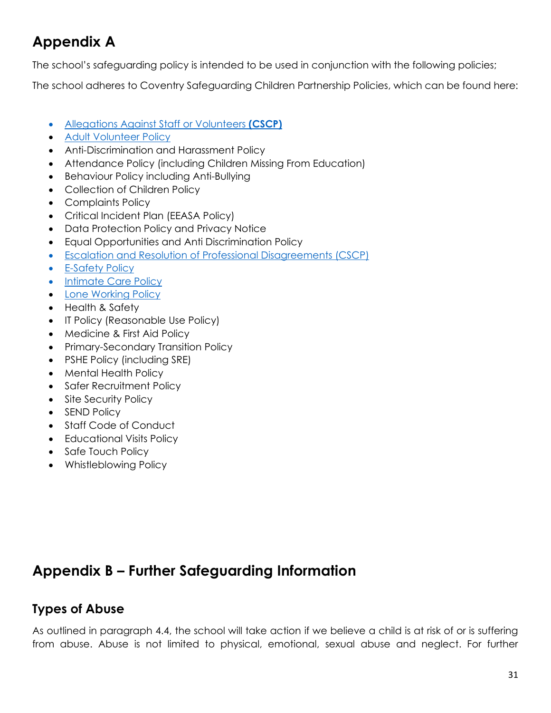# **Appendix A**

The school's safeguarding policy is intended to be used in conjunction with the following policies;

The school adheres to Coventry Safeguarding Children Partnership Policies, which can be found here:

- [Allegations Against Staff or Volunteers](https://westmidlands.procedures.org.uk/ykpzy/statutory-child-protection-procedures/allegations-against-staff-or-volunteers) **(CSCP)**
- Adult Volunteer Policy
- Anti-Discrimination and Harassment Policy
- Attendance Policy (including Children Missing From Education)
- Behaviour Policy including Anti-Bullying
- Collection of Children Policy
- Complaints Policy
- Critical Incident Plan (EEASA Policy)
- Data Protection Policy and Privacy Notice
- Equal Opportunities and Anti Discrimination Policy
- [Escalation and Resolution of Professional Disagreements \(CSCP\)](http://www.proceduresonline.com/covandwarksscb/p_escalation_resol.html)
- **E-Safety Policy**
- Intimate Care Policy
- Lone Working Policy
- Health & Safety
- IT Policy (Reasonable Use Policy)
- Medicine & First Aid Policy
- Primary-Secondary Transition Policy
- PSHE Policy (including SRE)
- Mental Health Policy
- Safer Recruitment Policy
- Site Security Policy
- SEND Policy
- Staff Code of Conduct
- Educational Visits Policy
- Safe Touch Policy
- Whistleblowing Policy

# **Appendix B – Further Safeguarding Information**

### **Types of Abuse**

As outlined in paragraph 4.4, the school will take action if we believe a child is at risk of or is suffering from abuse. Abuse is not limited to physical, emotional, sexual abuse and neglect. For further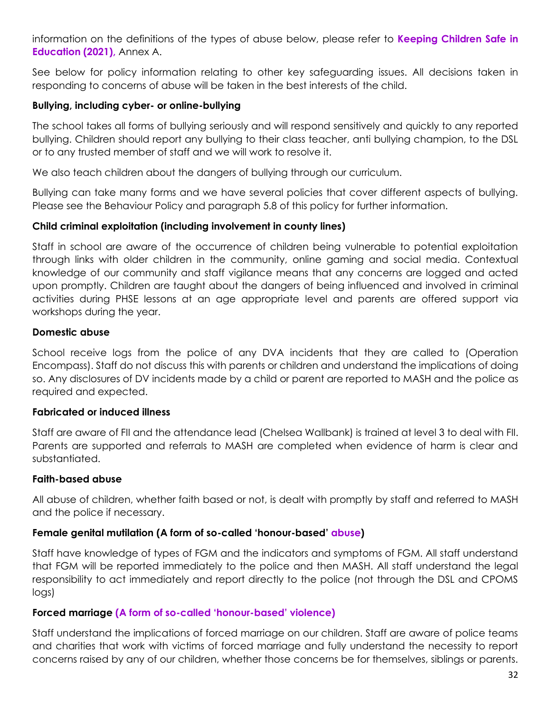information on the definitions of the types of abuse below, please refer to **Keeping Children Safe in Education (2021),** Annex A.

See below for policy information relating to other key safeguarding issues. All decisions taken in responding to concerns of abuse will be taken in the best interests of the child.

#### **Bullying, including cyber- or online-bullying**

The school takes all forms of bullying seriously and will respond sensitively and quickly to any reported bullying. Children should report any bullying to their class teacher, anti bullying champion, to the DSL or to any trusted member of staff and we will work to resolve it.

We also teach children about the dangers of bullying through our curriculum.

Bullying can take many forms and we have several policies that cover different aspects of bullying. Please see the Behaviour Policy and paragraph 5.8 of this policy for further information.

#### **Child criminal exploitation (including involvement in county lines)**

Staff in school are aware of the occurrence of children being vulnerable to potential exploitation through links with older children in the community, online gaming and social media. Contextual knowledge of our community and staff vigilance means that any concerns are logged and acted upon promptly. Children are taught about the dangers of being influenced and involved in criminal activities during PHSE lessons at an age appropriate level and parents are offered support via workshops during the year.

#### **Domestic abuse**

School receive logs from the police of any DVA incidents that they are called to (Operation Encompass). Staff do not discuss this with parents or children and understand the implications of doing so. Any disclosures of DV incidents made by a child or parent are reported to MASH and the police as required and expected.

#### **Fabricated or induced illness**

Staff are aware of FII and the attendance lead (Chelsea Wallbank) is trained at level 3 to deal with FII. Parents are supported and referrals to MASH are completed when evidence of harm is clear and substantiated.

#### **Faith-based abuse**

All abuse of children, whether faith based or not, is dealt with promptly by staff and referred to MASH and the police if necessary.

#### **Female genital mutilation (A form of so-called 'honour-based' abuse)**

Staff have knowledge of types of FGM and the indicators and symptoms of FGM. All staff understand that FGM will be reported immediately to the police and then MASH. All staff understand the legal responsibility to act immediately and report directly to the police (not through the DSL and CPOMS logs)

#### **Forced marriage (A form of so-called 'honour-based' violence)**

Staff understand the implications of forced marriage on our children. Staff are aware of police teams and charities that work with victims of forced marriage and fully understand the necessity to report concerns raised by any of our children, whether those concerns be for themselves, siblings or parents.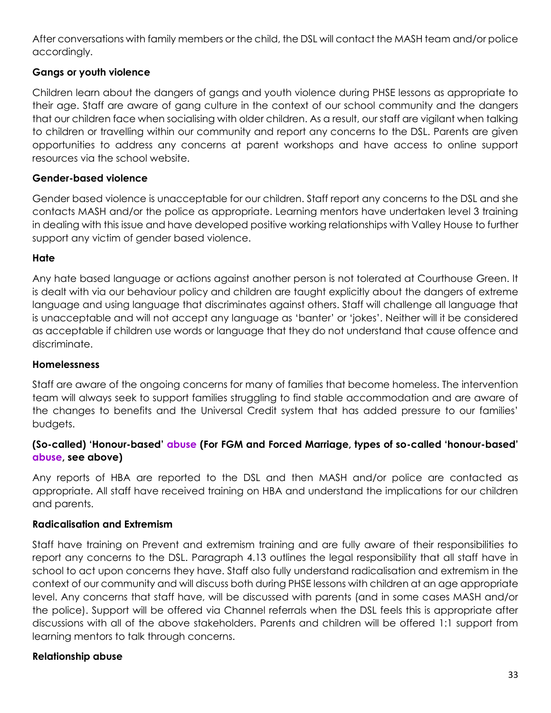After conversations with family members or the child, the DSL will contact the MASH team and/or police accordingly.

#### **Gangs or youth violence**

Children learn about the dangers of gangs and youth violence during PHSE lessons as appropriate to their age. Staff are aware of gang culture in the context of our school community and the dangers that our children face when socialising with older children. As a result, our staff are vigilant when talking to children or travelling within our community and report any concerns to the DSL. Parents are given opportunities to address any concerns at parent workshops and have access to online support resources via the school website.

#### **Gender-based violence**

Gender based violence is unacceptable for our children. Staff report any concerns to the DSL and she contacts MASH and/or the police as appropriate. Learning mentors have undertaken level 3 training in dealing with this issue and have developed positive working relationships with Valley House to further support any victim of gender based violence.

#### **Hate**

Any hate based language or actions against another person is not tolerated at Courthouse Green. It is dealt with via our behaviour policy and children are taught explicitly about the dangers of extreme language and using language that discriminates against others. Staff will challenge all language that is unacceptable and will not accept any language as 'banter' or 'jokes'. Neither will it be considered as acceptable if children use words or language that they do not understand that cause offence and discriminate.

#### **Homelessness**

Staff are aware of the ongoing concerns for many of families that become homeless. The intervention team will always seek to support families struggling to find stable accommodation and are aware of the changes to benefits and the Universal Credit system that has added pressure to our families' budgets.

#### **(So-called) 'Honour-based' abuse (For FGM and Forced Marriage, types of so-called 'honour-based' abuse, see above)**

Any reports of HBA are reported to the DSL and then MASH and/or police are contacted as appropriate. All staff have received training on HBA and understand the implications for our children and parents.

#### **Radicalisation and Extremism**

Staff have training on Prevent and extremism training and are fully aware of their responsibilities to report any concerns to the DSL. Paragraph 4.13 outlines the legal responsibility that all staff have in school to act upon concerns they have. Staff also fully understand radicalisation and extremism in the context of our community and will discuss both during PHSE lessons with children at an age appropriate level. Any concerns that staff have, will be discussed with parents (and in some cases MASH and/or the police). Support will be offered via Channel referrals when the DSL feels this is appropriate after discussions with all of the above stakeholders. Parents and children will be offered 1:1 support from learning mentors to talk through concerns.

#### **Relationship abuse**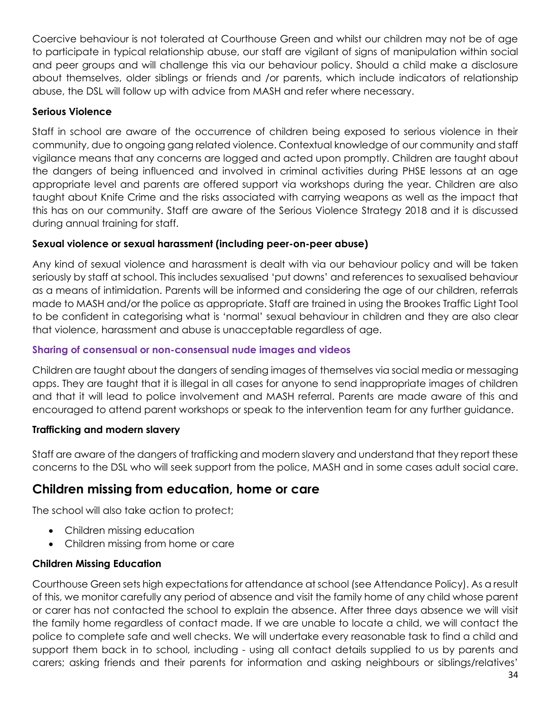Coercive behaviour is not tolerated at Courthouse Green and whilst our children may not be of age to participate in typical relationship abuse, our staff are vigilant of signs of manipulation within social and peer groups and will challenge this via our behaviour policy. Should a child make a disclosure about themselves, older siblings or friends and /or parents, which include indicators of relationship abuse, the DSL will follow up with advice from MASH and refer where necessary.

#### **Serious Violence**

Staff in school are aware of the occurrence of children being exposed to serious violence in their community, due to ongoing gang related violence. Contextual knowledge of our community and staff vigilance means that any concerns are logged and acted upon promptly. Children are taught about the dangers of being influenced and involved in criminal activities during PHSE lessons at an age appropriate level and parents are offered support via workshops during the year. Children are also taught about Knife Crime and the risks associated with carrying weapons as well as the impact that this has on our community. Staff are aware of the Serious Violence Strategy 2018 and it is discussed during annual training for staff.

#### **Sexual violence or sexual harassment (including peer-on-peer abuse)**

Any kind of sexual violence and harassment is dealt with via our behaviour policy and will be taken seriously by staff at school. This includes sexualised 'put downs' and references to sexualised behaviour as a means of intimidation. Parents will be informed and considering the age of our children, referrals made to MASH and/or the police as appropriate. Staff are trained in using the Brookes Traffic Light Tool to be confident in categorising what is 'normal' sexual behaviour in children and they are also clear that violence, harassment and abuse is unacceptable regardless of age.

#### **Sharing of consensual or non-consensual nude images and videos**

Children are taught about the dangers of sending images of themselves via social media or messaging apps. They are taught that it is illegal in all cases for anyone to send inappropriate images of children and that it will lead to police involvement and MASH referral. Parents are made aware of this and encouraged to attend parent workshops or speak to the intervention team for any further guidance.

#### **Trafficking and modern slavery**

Staff are aware of the dangers of trafficking and modern slavery and understand that they report these concerns to the DSL who will seek support from the police, MASH and in some cases adult social care.

### **Children missing from education, home or care**

The school will also take action to protect;

- Children missing education
- Children missing from home or care

#### **Children Missing Education**

Courthouse Green sets high expectations for attendance at school (see Attendance Policy). As a result of this, we monitor carefully any period of absence and visit the family home of any child whose parent or carer has not contacted the school to explain the absence. After three days absence we will visit the family home regardless of contact made. If we are unable to locate a child, we will contact the police to complete safe and well checks. We will undertake every reasonable task to find a child and support them back in to school, including - using all contact details supplied to us by parents and carers; asking friends and their parents for information and asking neighbours or siblings/relatives'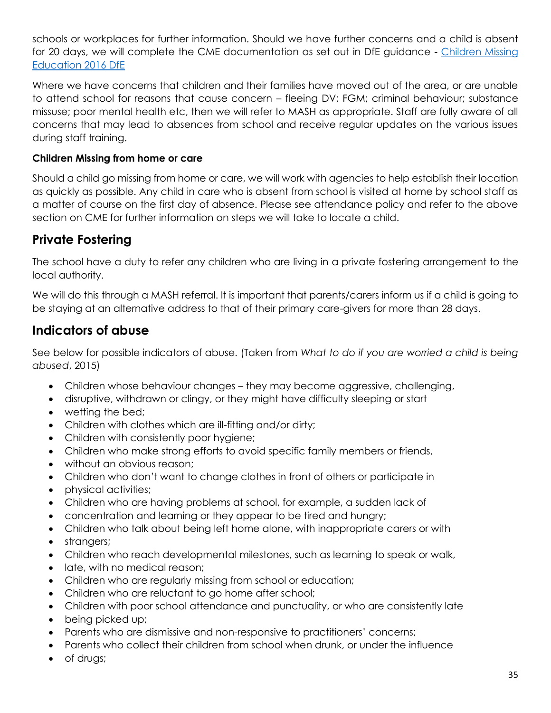schools or workplaces for further information. Should we have further concerns and a child is absent for 20 days, we will complete the CME documentation as set out in DfE guidance - [Children Missing](https://assets.publishing.service.gov.uk/government/uploads/system/uploads/attachment_data/file/550416/Children_Missing_Education_-_statutory_guidance.pdf)  [Education 2016 DfE](https://assets.publishing.service.gov.uk/government/uploads/system/uploads/attachment_data/file/550416/Children_Missing_Education_-_statutory_guidance.pdf)

Where we have concerns that children and their families have moved out of the area, or are unable to attend school for reasons that cause concern – fleeing DV; FGM; criminal behaviour; substance missuse; poor mental health etc, then we will refer to MASH as appropriate. Staff are fully aware of all concerns that may lead to absences from school and receive regular updates on the various issues during staff training.

#### **Children Missing from home or care**

Should a child go missing from home or care, we will work with agencies to help establish their location as quickly as possible. Any child in care who is absent from school is visited at home by school staff as a matter of course on the first day of absence. Please see attendance policy and refer to the above section on CME for further information on steps we will take to locate a child.

### **Private Fostering**

The school have a duty to refer any children who are living in a private fostering arrangement to the local authority.

We will do this through a MASH referral. It is important that parents/carers inform us if a child is going to be staying at an alternative address to that of their primary care-givers for more than 28 days.

### **Indicators of abuse**

See below for possible indicators of abuse. (Taken from *What to do if you are worried a child is being abused*, 2015)

- Children whose behaviour changes they may become aggressive, challenging,
- disruptive, withdrawn or clingy, or they might have difficulty sleeping or start
- wetting the bed;
- Children with clothes which are ill-fitting and/or dirty;
- Children with consistently poor hygiene;
- Children who make strong efforts to avoid specific family members or friends,
- without an obvious reason;
- Children who don't want to change clothes in front of others or participate in
- physical activities;
- Children who are having problems at school, for example, a sudden lack of
- concentration and learning or they appear to be tired and hungry;
- Children who talk about being left home alone, with inappropriate carers or with
- strangers;
- Children who reach developmental milestones, such as learning to speak or walk,
- late, with no medical reason;
- Children who are regularly missing from school or education;
- Children who are reluctant to go home after school;
- Children with poor school attendance and punctuality, or who are consistently late
- being picked up;
- Parents who are dismissive and non-responsive to practitioners' concerns;
- Parents who collect their children from school when drunk, or under the influence
- of drugs;